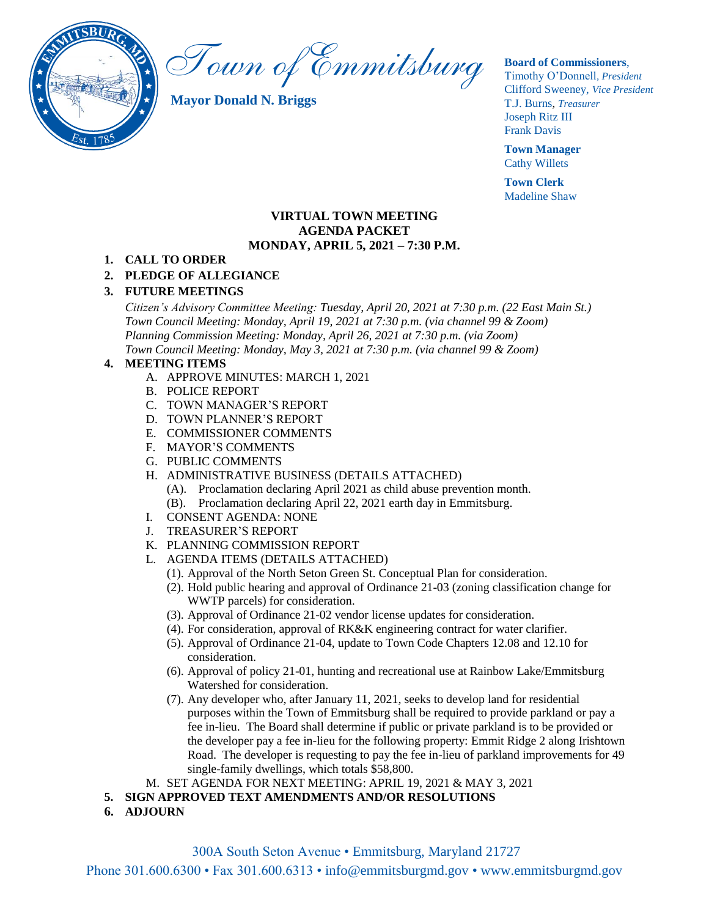

Town of Emmitsburg

**Mayor Donald N. Briggs**

#### **Board of Commissioners**,

Timothy O'Donnell*, President*  Clifford Sweeney, *Vice President* T.J. Burns, *Treasurer*  Joseph Ritz III Frank Davis

**Town Manager** Cathy Willets

**Town Clerk** Madeline Shaw

#### **VIRTUAL TOWN MEETING AGENDA PACKET MONDAY, APRIL 5, 2021 – 7:30 P.M.**

#### **1. CALL TO ORDER**

### **2. PLEDGE OF ALLEGIANCE**

### **3. FUTURE MEETINGS**

*Citizen's Advisory Committee Meeting: Tuesday, April 20, 2021 at 7:30 p.m. (22 East Main St.) Town Council Meeting: Monday, April 19, 2021 at 7:30 p.m. (via channel 99 & Zoom) Planning Commission Meeting: Monday, April 26, 2021 at 7:30 p.m. (via Zoom) Town Council Meeting: Monday, May 3, 2021 at 7:30 p.m. (via channel 99 & Zoom)*

### **4. MEETING ITEMS**

- A. APPROVE MINUTES: MARCH 1, 2021
	- B. POLICE REPORT
	- C. TOWN MANAGER'S REPORT
	- D. TOWN PLANNER'S REPORT
	- E. COMMISSIONER COMMENTS
	- F. MAYOR'S COMMENTS
	- G. PUBLIC COMMENTS
	- H. ADMINISTRATIVE BUSINESS (DETAILS ATTACHED)
		- (A). Proclamation declaring April 2021 as child abuse prevention month.
		- (B). Proclamation declaring April 22, 2021 earth day in Emmitsburg.
	- I. CONSENT AGENDA: NONE
	- J. TREASURER'S REPORT
	- K. PLANNING COMMISSION REPORT
	- L. AGENDA ITEMS (DETAILS ATTACHED)
		- (1). Approval of the North Seton Green St. Conceptual Plan for consideration.
		- (2). Hold public hearing and approval of Ordinance 21-03 (zoning classification change for WWTP parcels) for consideration.
		- (3). Approval of Ordinance 21-02 vendor license updates for consideration.
		- (4). For consideration, approval of RK&K engineering contract for water clarifier.
		- (5). Approval of Ordinance 21-04, update to Town Code Chapters 12.08 and 12.10 for consideration.
		- (6). Approval of policy 21-01, hunting and recreational use at Rainbow Lake/Emmitsburg Watershed for consideration.
		- (7). Any developer who, after January 11, 2021, seeks to develop land for residential purposes within the Town of Emmitsburg shall be required to provide parkland or pay a fee in-lieu. The Board shall determine if public or private parkland is to be provided or the developer pay a fee in-lieu for the following property: Emmit Ridge 2 along Irishtown Road. The developer is requesting to pay the fee in-lieu of parkland improvements for 49 single-family dwellings, which totals \$58,800.
- M. SET AGENDA FOR NEXT MEETING: APRIL 19, 2021 & MAY 3, 2021
- **5. SIGN APPROVED TEXT AMENDMENTS AND/OR RESOLUTIONS**
- **6. ADJOURN**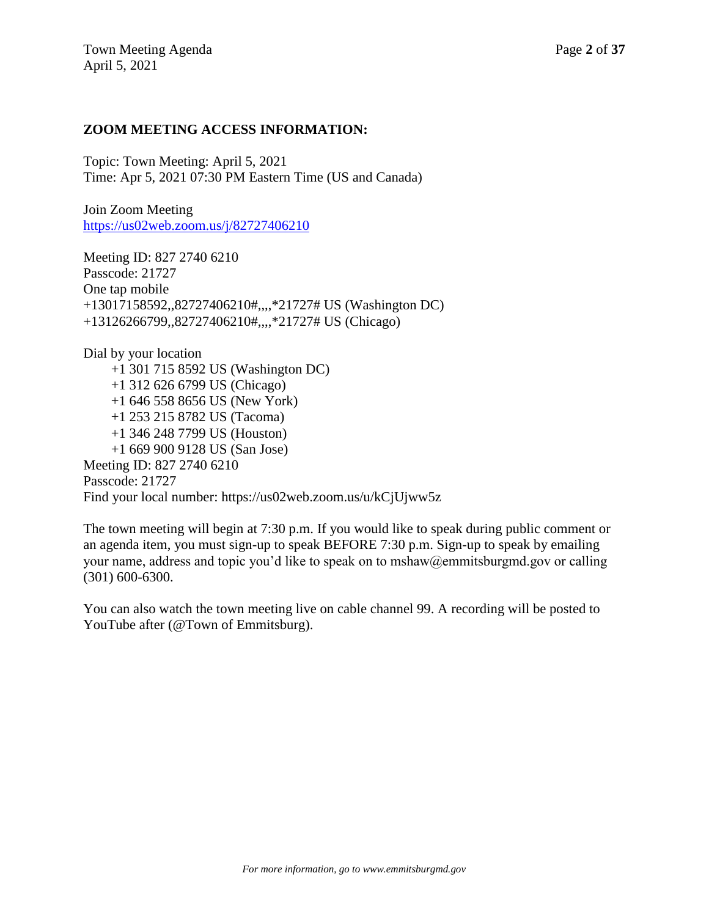## **ZOOM MEETING ACCESS INFORMATION:**

Topic: Town Meeting: April 5, 2021 Time: Apr 5, 2021 07:30 PM Eastern Time (US and Canada)

Join Zoom Meeting <https://us02web.zoom.us/j/82727406210>

Meeting ID: 827 2740 6210 Passcode: 21727 One tap mobile +13017158592,,82727406210#,,,,\*21727# US (Washington DC) +13126266799,,82727406210#,,,,\*21727# US (Chicago)

Dial by your location +1 301 715 8592 US (Washington DC) +1 312 626 6799 US (Chicago) +1 646 558 8656 US (New York) +1 253 215 8782 US (Tacoma) +1 346 248 7799 US (Houston) +1 669 900 9128 US (San Jose) Meeting ID: 827 2740 6210 Passcode: 21727 Find your local number: https://us02web.zoom.us/u/kCjUjww5z

The town meeting will begin at 7:30 p.m. If you would like to speak during public comment or an agenda item, you must sign-up to speak BEFORE 7:30 p.m. Sign-up to speak by emailing your name, address and topic you'd like to speak on to mshaw@emmitsburgmd.gov or calling (301) 600-6300.

You can also watch the town meeting live on cable channel 99. A recording will be posted to YouTube after (@Town of Emmitsburg).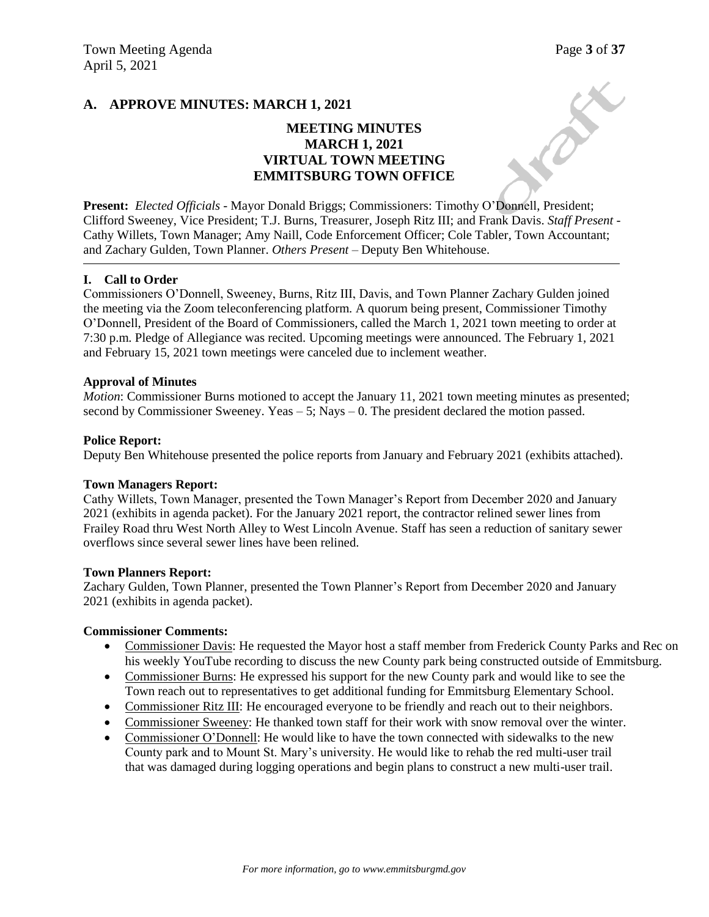CREW

### **A. APPROVE MINUTES: MARCH 1, 2021**

## **MEETING MINUTES MARCH 1, 2021 VIRTUAL TOWN MEETING EMMITSBURG TOWN OFFICE**

**Present:** *Elected Officials* - Mayor Donald Briggs; Commissioners: Timothy O'Donnell, President; Clifford Sweeney, Vice President; T.J. Burns, Treasurer, Joseph Ritz III; and Frank Davis. *Staff Present* - Cathy Willets, Town Manager; Amy Naill, Code Enforcement Officer; Cole Tabler, Town Accountant; and Zachary Gulden, Town Planner. *Others Present* – Deputy Ben Whitehouse.

#### **I. Call to Order**

Commissioners O'Donnell, Sweeney, Burns, Ritz III, Davis, and Town Planner Zachary Gulden joined the meeting via the Zoom teleconferencing platform. A quorum being present, Commissioner Timothy O'Donnell, President of the Board of Commissioners, called the March 1, 2021 town meeting to order at 7:30 p.m. Pledge of Allegiance was recited. Upcoming meetings were announced. The February 1, 2021 and February 15, 2021 town meetings were canceled due to inclement weather.

#### **Approval of Minutes**

*Motion*: Commissioner Burns motioned to accept the January 11, 2021 town meeting minutes as presented; second by Commissioner Sweeney. Yeas  $-5$ ; Nays  $-0$ . The president declared the motion passed.

#### **Police Report:**

Deputy Ben Whitehouse presented the police reports from January and February 2021 (exhibits attached).

#### **Town Managers Report:**

Cathy Willets, Town Manager, presented the Town Manager's Report from December 2020 and January 2021 (exhibits in agenda packet). For the January 2021 report, the contractor relined sewer lines from Frailey Road thru West North Alley to West Lincoln Avenue. Staff has seen a reduction of sanitary sewer overflows since several sewer lines have been relined.

#### **Town Planners Report:**

Zachary Gulden, Town Planner, presented the Town Planner's Report from December 2020 and January 2021 (exhibits in agenda packet).

#### **Commissioner Comments:**

- Commissioner Davis: He requested the Mayor host a staff member from Frederick County Parks and Rec on his weekly YouTube recording to discuss the new County park being constructed outside of Emmitsburg.
- Commissioner Burns: He expressed his support for the new County park and would like to see the Town reach out to representatives to get additional funding for Emmitsburg Elementary School.
- Commissioner Ritz III: He encouraged everyone to be friendly and reach out to their neighbors.
- Commissioner Sweeney: He thanked town staff for their work with snow removal over the winter.
- Commissioner O'Donnell: He would like to have the town connected with sidewalks to the new County park and to Mount St. Mary's university. He would like to rehab the red multi-user trail that was damaged during logging operations and begin plans to construct a new multi-user trail.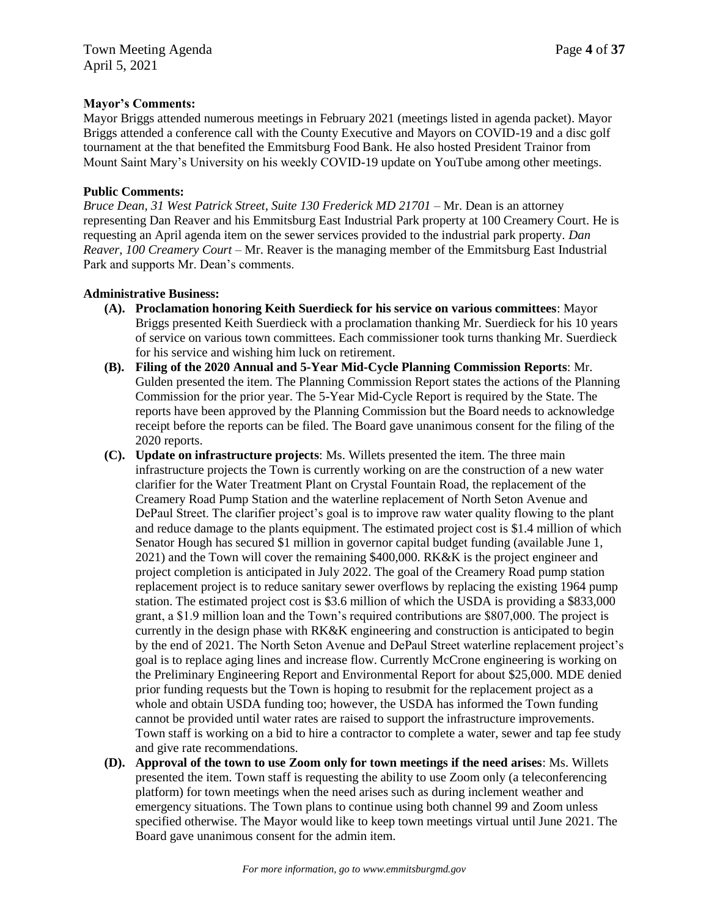### **Mayor's Comments:**

Mayor Briggs attended numerous meetings in February 2021 (meetings listed in agenda packet). Mayor Briggs attended a conference call with the County Executive and Mayors on COVID-19 and a disc golf tournament at the that benefited the Emmitsburg Food Bank. He also hosted President Trainor from Mount Saint Mary's University on his weekly COVID-19 update on YouTube among other meetings.

### **Public Comments:**

*Bruce Dean, 31 West Patrick Street, Suite 130 Frederick MD 21701 –* Mr. Dean is an attorney representing Dan Reaver and his Emmitsburg East Industrial Park property at 100 Creamery Court. He is requesting an April agenda item on the sewer services provided to the industrial park property. *Dan Reaver, 100 Creamery Court –* Mr. Reaver is the managing member of the Emmitsburg East Industrial Park and supports Mr. Dean's comments.

### **Administrative Business:**

- **(A). Proclamation honoring Keith Suerdieck for his service on various committees**: Mayor Briggs presented Keith Suerdieck with a proclamation thanking Mr. Suerdieck for his 10 years of service on various town committees. Each commissioner took turns thanking Mr. Suerdieck for his service and wishing him luck on retirement.
- **(B). Filing of the 2020 Annual and 5-Year Mid-Cycle Planning Commission Reports**: Mr. Gulden presented the item. The Planning Commission Report states the actions of the Planning Commission for the prior year. The 5-Year Mid-Cycle Report is required by the State. The reports have been approved by the Planning Commission but the Board needs to acknowledge receipt before the reports can be filed. The Board gave unanimous consent for the filing of the 2020 reports.
- **(C). Update on infrastructure projects**: Ms. Willets presented the item. The three main infrastructure projects the Town is currently working on are the construction of a new water clarifier for the Water Treatment Plant on Crystal Fountain Road, the replacement of the Creamery Road Pump Station and the waterline replacement of North Seton Avenue and DePaul Street. The clarifier project's goal is to improve raw water quality flowing to the plant and reduce damage to the plants equipment. The estimated project cost is \$1.4 million of which Senator Hough has secured \$1 million in governor capital budget funding (available June 1, 2021) and the Town will cover the remaining \$400,000. RK&K is the project engineer and project completion is anticipated in July 2022. The goal of the Creamery Road pump station replacement project is to reduce sanitary sewer overflows by replacing the existing 1964 pump station. The estimated project cost is \$3.6 million of which the USDA is providing a \$833,000 grant, a \$1.9 million loan and the Town's required contributions are \$807,000. The project is currently in the design phase with RK&K engineering and construction is anticipated to begin by the end of 2021. The North Seton Avenue and DePaul Street waterline replacement project's goal is to replace aging lines and increase flow. Currently McCrone engineering is working on the Preliminary Engineering Report and Environmental Report for about \$25,000. MDE denied prior funding requests but the Town is hoping to resubmit for the replacement project as a whole and obtain USDA funding too; however, the USDA has informed the Town funding cannot be provided until water rates are raised to support the infrastructure improvements. Town staff is working on a bid to hire a contractor to complete a water, sewer and tap fee study and give rate recommendations.
- **(D). Approval of the town to use Zoom only for town meetings if the need arises**: Ms. Willets presented the item. Town staff is requesting the ability to use Zoom only (a teleconferencing platform) for town meetings when the need arises such as during inclement weather and emergency situations. The Town plans to continue using both channel 99 and Zoom unless specified otherwise. The Mayor would like to keep town meetings virtual until June 2021. The Board gave unanimous consent for the admin item.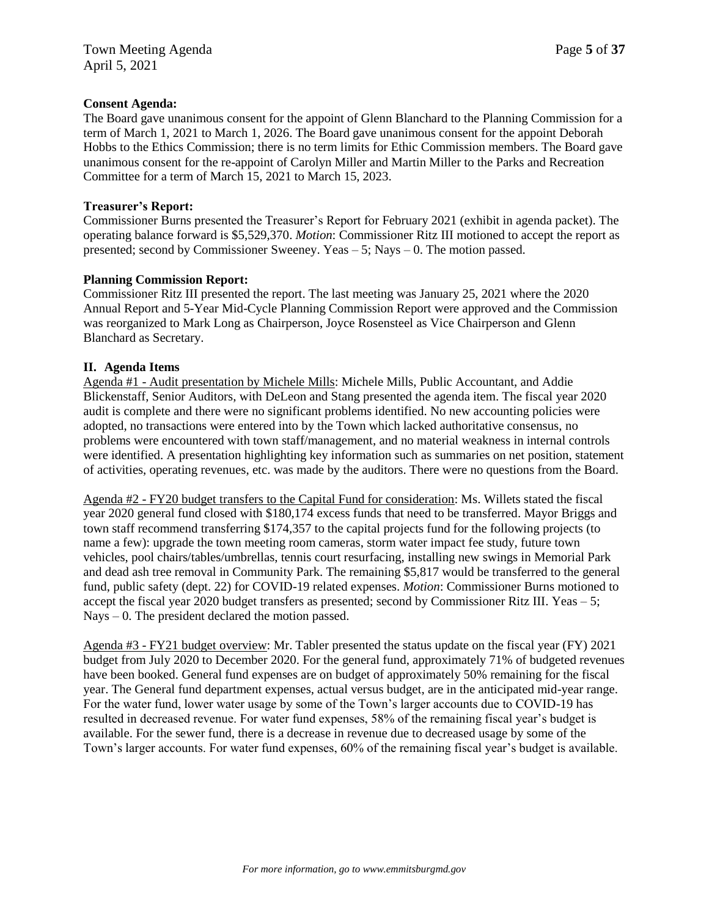### **Consent Agenda:**

The Board gave unanimous consent for the appoint of Glenn Blanchard to the Planning Commission for a term of March 1, 2021 to March 1, 2026. The Board gave unanimous consent for the appoint Deborah Hobbs to the Ethics Commission; there is no term limits for Ethic Commission members. The Board gave unanimous consent for the re-appoint of Carolyn Miller and Martin Miller to the Parks and Recreation Committee for a term of March 15, 2021 to March 15, 2023.

### **Treasurer's Report:**

Commissioner Burns presented the Treasurer's Report for February 2021 (exhibit in agenda packet). The operating balance forward is \$5,529,370. *Motion*: Commissioner Ritz III motioned to accept the report as presented; second by Commissioner Sweeney. Yeas – 5; Nays – 0. The motion passed.

### **Planning Commission Report:**

Commissioner Ritz III presented the report. The last meeting was January 25, 2021 where the 2020 Annual Report and 5-Year Mid-Cycle Planning Commission Report were approved and the Commission was reorganized to Mark Long as Chairperson, Joyce Rosensteel as Vice Chairperson and Glenn Blanchard as Secretary.

### **II. Agenda Items**

Agenda #1 - Audit presentation by Michele Mills: Michele Mills, Public Accountant, and Addie Blickenstaff, Senior Auditors, with DeLeon and Stang presented the agenda item. The fiscal year 2020 audit is complete and there were no significant problems identified. No new accounting policies were adopted, no transactions were entered into by the Town which lacked authoritative consensus, no problems were encountered with town staff/management, and no material weakness in internal controls were identified. A presentation highlighting key information such as summaries on net position, statement of activities, operating revenues, etc. was made by the auditors. There were no questions from the Board.

Agenda #2 - FY20 budget transfers to the Capital Fund for consideration: Ms. Willets stated the fiscal year 2020 general fund closed with \$180,174 excess funds that need to be transferred. Mayor Briggs and town staff recommend transferring \$174,357 to the capital projects fund for the following projects (to name a few): upgrade the town meeting room cameras, storm water impact fee study, future town vehicles, pool chairs/tables/umbrellas, tennis court resurfacing, installing new swings in Memorial Park and dead ash tree removal in Community Park. The remaining \$5,817 would be transferred to the general fund, public safety (dept. 22) for COVID-19 related expenses. *Motion*: Commissioner Burns motioned to accept the fiscal year 2020 budget transfers as presented; second by Commissioner Ritz III. Yeas – 5; Nays – 0. The president declared the motion passed.

Agenda #3 - FY21 budget overview: Mr. Tabler presented the status update on the fiscal year (FY) 2021 budget from July 2020 to December 2020. For the general fund, approximately 71% of budgeted revenues have been booked. General fund expenses are on budget of approximately 50% remaining for the fiscal year. The General fund department expenses, actual versus budget, are in the anticipated mid-year range. For the water fund, lower water usage by some of the Town's larger accounts due to COVID-19 has resulted in decreased revenue. For water fund expenses, 58% of the remaining fiscal year's budget is available. For the sewer fund, there is a decrease in revenue due to decreased usage by some of the Town's larger accounts. For water fund expenses, 60% of the remaining fiscal year's budget is available.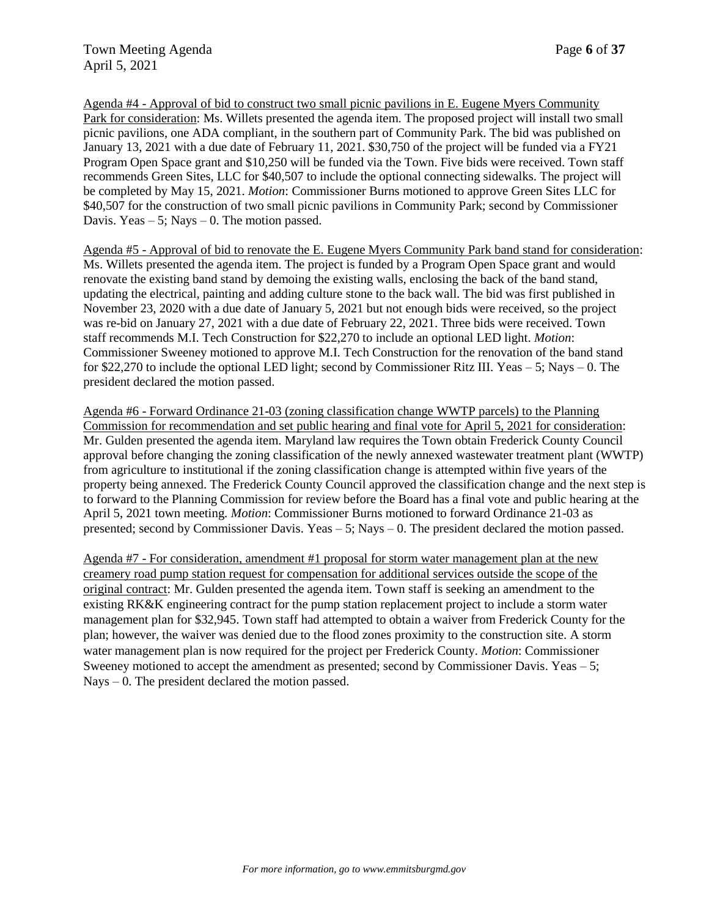Agenda #4 - Approval of bid to construct two small picnic pavilions in E. Eugene Myers Community Park for consideration: Ms. Willets presented the agenda item. The proposed project will install two small picnic pavilions, one ADA compliant, in the southern part of Community Park. The bid was published on January 13, 2021 with a due date of February 11, 2021. \$30,750 of the project will be funded via a FY21 Program Open Space grant and \$10,250 will be funded via the Town. Five bids were received. Town staff recommends Green Sites, LLC for \$40,507 to include the optional connecting sidewalks. The project will be completed by May 15, 2021. *Motion*: Commissioner Burns motioned to approve Green Sites LLC for \$40,507 for the construction of two small picnic pavilions in Community Park; second by Commissioner Davis. Yeas  $-5$ ; Nays  $-0$ . The motion passed.

Agenda #5 - Approval of bid to renovate the E. Eugene Myers Community Park band stand for consideration: Ms. Willets presented the agenda item. The project is funded by a Program Open Space grant and would renovate the existing band stand by demoing the existing walls, enclosing the back of the band stand, updating the electrical, painting and adding culture stone to the back wall. The bid was first published in November 23, 2020 with a due date of January 5, 2021 but not enough bids were received, so the project was re-bid on January 27, 2021 with a due date of February 22, 2021. Three bids were received. Town staff recommends M.I. Tech Construction for \$22,270 to include an optional LED light. *Motion*: Commissioner Sweeney motioned to approve M.I. Tech Construction for the renovation of the band stand for \$22,270 to include the optional LED light; second by Commissioner Ritz III. Yeas – 5; Nays – 0. The president declared the motion passed.

Agenda #6 - Forward Ordinance 21-03 (zoning classification change WWTP parcels) to the Planning Commission for recommendation and set public hearing and final vote for April 5, 2021 for consideration: Mr. Gulden presented the agenda item. Maryland law requires the Town obtain Frederick County Council approval before changing the zoning classification of the newly annexed wastewater treatment plant (WWTP) from agriculture to institutional if the zoning classification change is attempted within five years of the property being annexed. The Frederick County Council approved the classification change and the next step is to forward to the Planning Commission for review before the Board has a final vote and public hearing at the April 5, 2021 town meeting. *Motion*: Commissioner Burns motioned to forward Ordinance 21-03 as presented; second by Commissioner Davis. Yeas – 5; Nays – 0. The president declared the motion passed.

Agenda #7 - For consideration, amendment #1 proposal for storm water management plan at the new creamery road pump station request for compensation for additional services outside the scope of the original contract: Mr. Gulden presented the agenda item. Town staff is seeking an amendment to the existing RK&K engineering contract for the pump station replacement project to include a storm water management plan for \$32,945. Town staff had attempted to obtain a waiver from Frederick County for the plan; however, the waiver was denied due to the flood zones proximity to the construction site. A storm water management plan is now required for the project per Frederick County. *Motion*: Commissioner Sweeney motioned to accept the amendment as presented; second by Commissioner Davis. Yeas  $-5$ ; Nays – 0. The president declared the motion passed.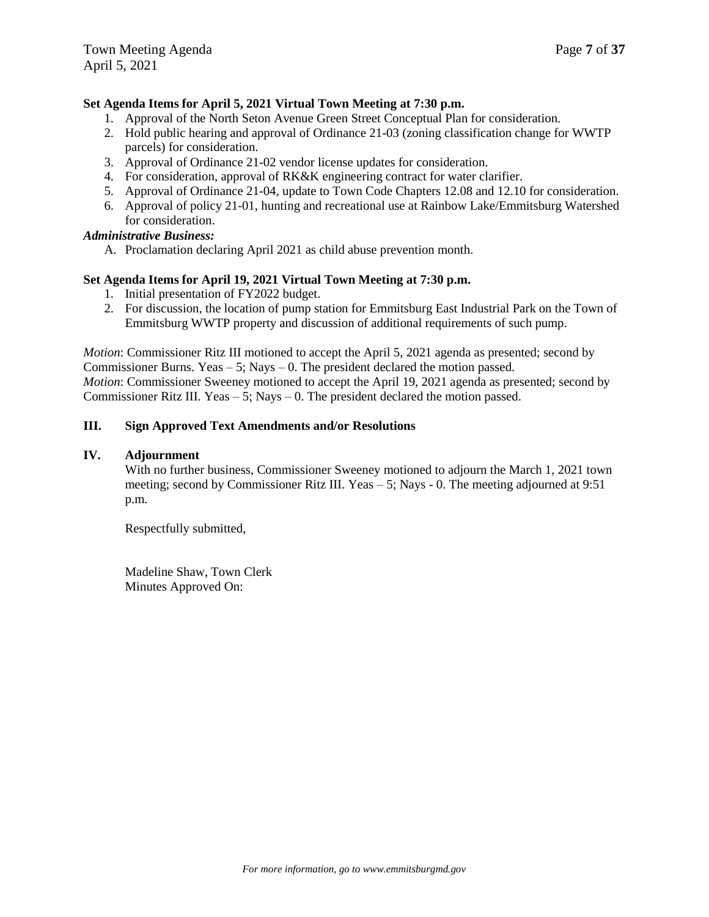### **Set Agenda Items for April 5, 2021 Virtual Town Meeting at 7:30 p.m.**

- 1. Approval of the North Seton Avenue Green Street Conceptual Plan for consideration.
- 2. Hold public hearing and approval of Ordinance 21-03 (zoning classification change for WWTP parcels) for consideration.
- 3. Approval of Ordinance 21-02 vendor license updates for consideration.
- 4. For consideration, approval of RK&K engineering contract for water clarifier.
- 5. Approval of Ordinance 21-04, update to Town Code Chapters 12.08 and 12.10 for consideration.
- 6. Approval of policy 21-01, hunting and recreational use at Rainbow Lake/Emmitsburg Watershed for consideration.

### *Administrative Business:*

A. Proclamation declaring April 2021 as child abuse prevention month.

### **Set Agenda Items for April 19, 2021 Virtual Town Meeting at 7:30 p.m.**

- 1. Initial presentation of FY2022 budget.
- 2. For discussion, the location of pump station for Emmitsburg East Industrial Park on the Town of Emmitsburg WWTP property and discussion of additional requirements of such pump.

*Motion*: Commissioner Ritz III motioned to accept the April 5, 2021 agenda as presented; second by Commissioner Burns. Yeas  $-5$ ; Nays  $-0$ . The president declared the motion passed. *Motion*: Commissioner Sweeney motioned to accept the April 19, 2021 agenda as presented; second by Commissioner Ritz III. Yeas  $-5$ ; Nays  $-0$ . The president declared the motion passed.

### **III. Sign Approved Text Amendments and/or Resolutions**

### **IV. Adjournment**

With no further business, Commissioner Sweeney motioned to adjourn the March 1, 2021 town meeting; second by Commissioner Ritz III. Yeas – 5; Nays - 0. The meeting adjourned at 9:51 p.m.

Respectfully submitted,

Madeline Shaw, Town Clerk Minutes Approved On: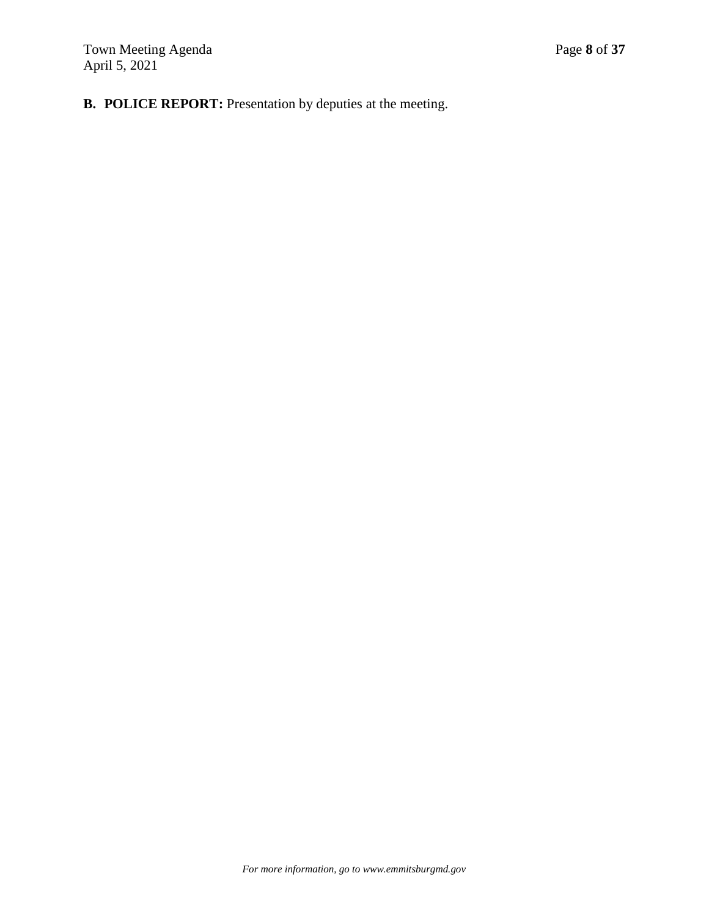# **B. POLICE REPORT:** Presentation by deputies at the meeting.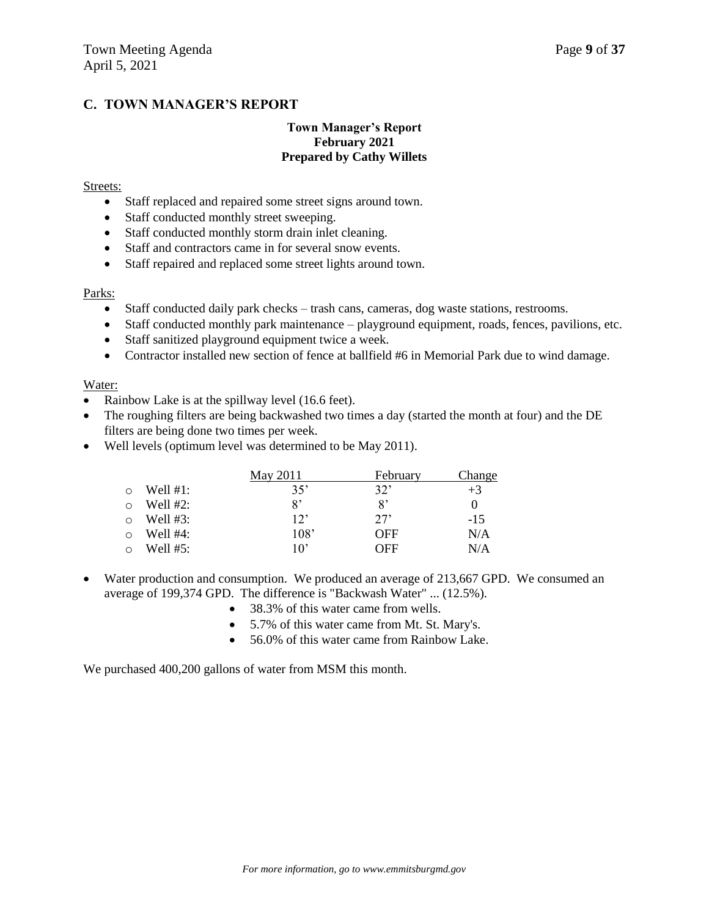### **C. TOWN MANAGER'S REPORT**

### **Town Manager's Report February 2021 Prepared by Cathy Willets**

#### Streets:

- Staff replaced and repaired some street signs around town.
- Staff conducted monthly street sweeping.
- Staff conducted monthly storm drain inlet cleaning.
- Staff and contractors came in for several snow events.
- Staff repaired and replaced some street lights around town.

#### Parks:

- Staff conducted daily park checks trash cans, cameras, dog waste stations, restrooms.
- Staff conducted monthly park maintenance playground equipment, roads, fences, pavilions, etc.
- Staff sanitized playground equipment twice a week.
- Contractor installed new section of fence at ballfield #6 in Memorial Park due to wind damage.

#### Water:

- Rainbow Lake is at the spillway level (16.6 feet).
- The roughing filters are being backwashed two times a day (started the month at four) and the DE filters are being done two times per week.
- Well levels (optimum level was determined to be May 2011).

|             | May 2011     | February   | Change |
|-------------|--------------|------------|--------|
| Well $#1$ : | 35'          | 32'        | $+3$   |
| Well $#2$ : | 8'           | g,         |        |
| Well $#3:$  | 12'          | 27'        | $-1.5$ |
| Well $#4$ : | 108'         | <b>OFF</b> | N/A    |
| Well #5:    | $10^{\circ}$ | OFF        | N/A    |

- Water production and consumption. We produced an average of 213,667 GPD. We consumed an average of 199,374 GPD. The difference is "Backwash Water" ... (12.5%).
	- 38.3% of this water came from wells.
	- 5.7% of this water came from Mt. St. Mary's.
	- 56.0% of this water came from Rainbow Lake.

We purchased 400,200 gallons of water from MSM this month.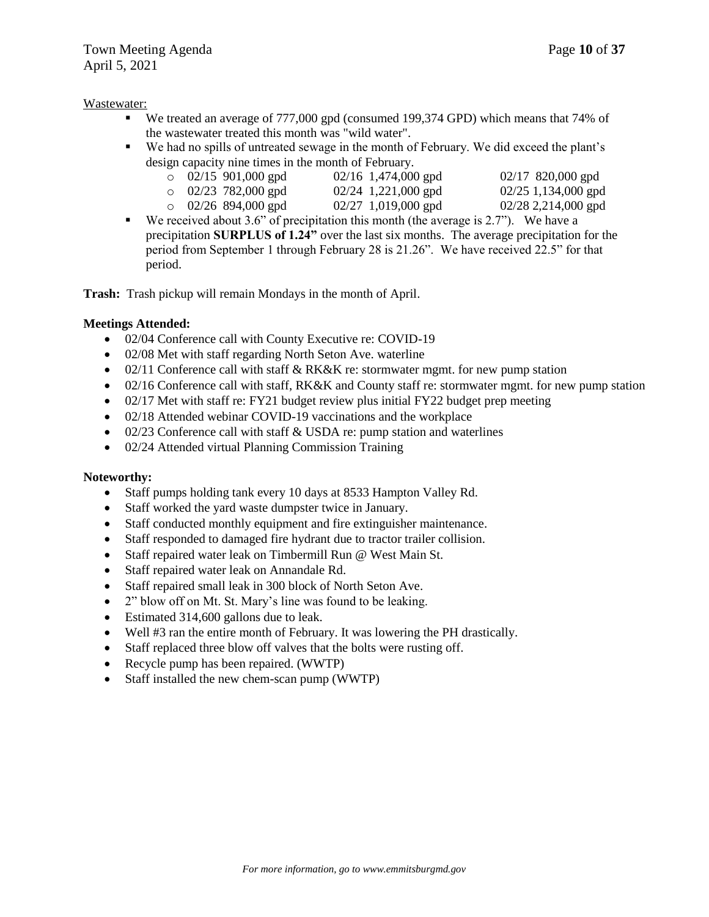### Wastewater:

- We treated an average of 777,000 gpd (consumed 199,374 GPD) which means that 74% of the wastewater treated this month was "wild water".
- We had no spills of untreated sewage in the month of February. We did exceed the plant's design capacity nine times in the month of February.

| $\circ$ 02/15 901,000 gpd | $02/16$ 1,474,000 gpd | $02/17$ 820,000 gpd   |
|---------------------------|-----------------------|-----------------------|
| $\circ$ 02/23 782,000 gpd | $02/24$ 1,221,000 gpd | $02/25$ 1,134,000 gpd |
| $\circ$ 02/26 894,000 gpd | $02/27$ 1,019,000 gpd | $02/28$ 2,214,000 gpd |

We received about 3.6" of precipitation this month (the average is  $2.7"$ ). We have a precipitation **SURPLUS of 1.24"** over the last six months. The average precipitation for the period from September 1 through February 28 is 21.26". We have received 22.5" for that period.

**Trash:** Trash pickup will remain Mondays in the month of April.

### **Meetings Attended:**

- 02/04 Conference call with County Executive re: COVID-19
- 02/08 Met with staff regarding North Seton Ave. waterline
- 02/11 Conference call with staff  $&$  RK&K re: stormwater mgmt. for new pump station
- 02/16 Conference call with staff, RK&K and County staff re: stormwater mgmt. for new pump station
- 02/17 Met with staff re: FY21 budget review plus initial FY22 budget prep meeting
- 02/18 Attended webinar COVID-19 vaccinations and the workplace
- 02/23 Conference call with staff & USDA re: pump station and waterlines
- 02/24 Attended virtual Planning Commission Training

### **Noteworthy:**

- Staff pumps holding tank every 10 days at 8533 Hampton Valley Rd.
- Staff worked the yard waste dumpster twice in January.
- Staff conducted monthly equipment and fire extinguisher maintenance.
- Staff responded to damaged fire hydrant due to tractor trailer collision.
- Staff repaired water leak on Timbermill Run @ West Main St.
- Staff repaired water leak on Annandale Rd.
- Staff repaired small leak in 300 block of North Seton Ave.
- 2" blow off on Mt. St. Mary's line was found to be leaking.
- Estimated 314,600 gallons due to leak.
- Well #3 ran the entire month of February. It was lowering the PH drastically.
- Staff replaced three blow off valves that the bolts were rusting off.
- Recycle pump has been repaired. (WWTP)
- Staff installed the new chem-scan pump (WWTP)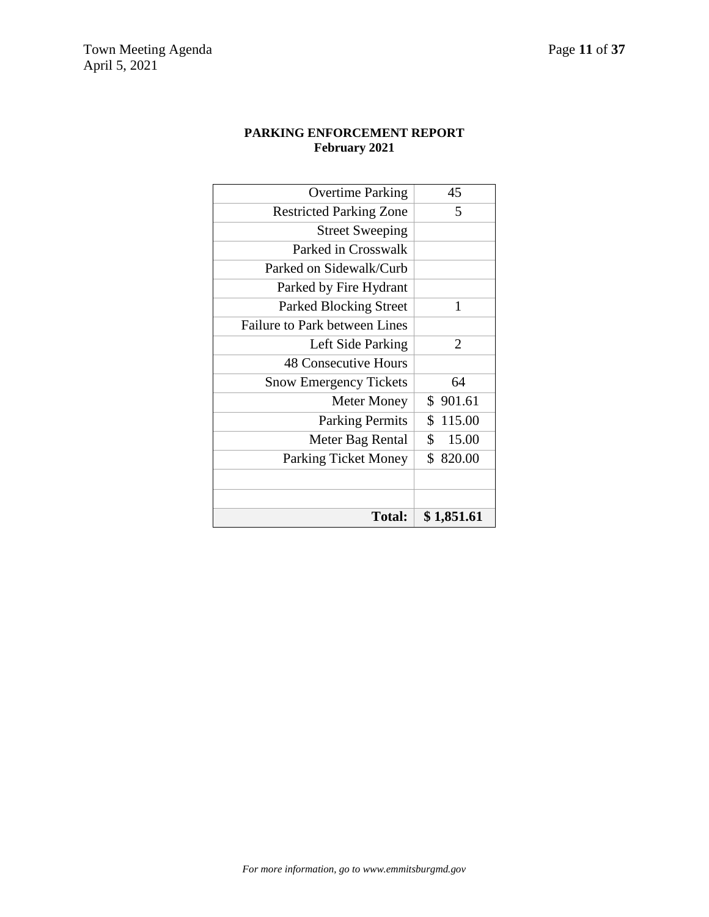## **PARKING ENFORCEMENT REPORT February 2021**

| <b>Total:</b>                        | \$1,851.61     |
|--------------------------------------|----------------|
|                                      |                |
|                                      |                |
| <b>Parking Ticket Money</b>          | \$820.00       |
| Meter Bag Rental                     | 15.00<br>\$    |
| <b>Parking Permits</b>               | \$115.00       |
| Meter Money                          | \$901.61       |
| <b>Snow Emergency Tickets</b>        | 64             |
| <b>48 Consecutive Hours</b>          |                |
| Left Side Parking                    | $\overline{2}$ |
| <b>Failure to Park between Lines</b> |                |
| <b>Parked Blocking Street</b>        | 1              |
| Parked by Fire Hydrant               |                |
| Parked on Sidewalk/Curb              |                |
| Parked in Crosswalk                  |                |
| <b>Street Sweeping</b>               |                |
| <b>Restricted Parking Zone</b>       | 5              |
| <b>Overtime Parking</b>              | 45             |
|                                      |                |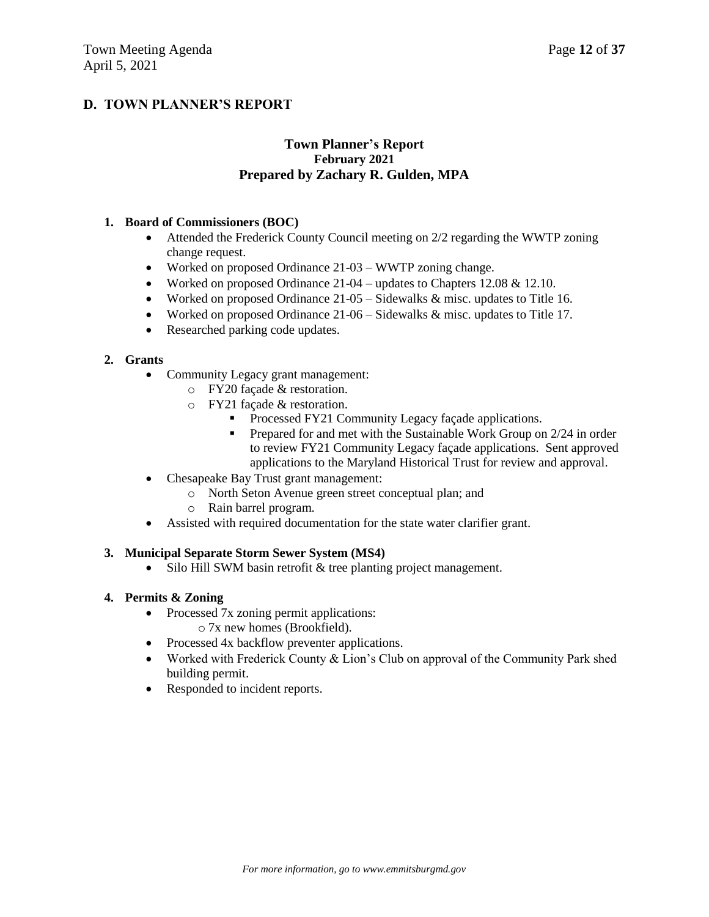## **D. TOWN PLANNER'S REPORT**

### **Town Planner's Report February 2021 Prepared by Zachary R. Gulden, MPA**

### **1. Board of Commissioners (BOC)**

- Attended the Frederick County Council meeting on 2/2 regarding the WWTP zoning change request.
- Worked on proposed Ordinance 21-03 WWTP zoning change.
- Worked on proposed Ordinance  $21-04$  updates to Chapters 12.08 & 12.10.
- Worked on proposed Ordinance  $21-05 5$  idewalks  $&$  misc. updates to Title 16.
- Worked on proposed Ordinance 21-06 Sidewalks & misc. updates to Title 17.
- Researched parking code updates.

### **2. Grants**

- Community Legacy grant management:
	- o FY20 façade & restoration.
	- o FY21 façade & restoration.
		- **Processed FY21 Community Legacy façade applications.**
		- **Prepared for and met with the Sustainable Work Group on 2/24 in order** to review FY21 Community Legacy façade applications. Sent approved applications to the Maryland Historical Trust for review and approval.
- Chesapeake Bay Trust grant management:
	- o North Seton Avenue green street conceptual plan; and
	- o Rain barrel program.
- Assisted with required documentation for the state water clarifier grant.

### **3. Municipal Separate Storm Sewer System (MS4)**

• Silo Hill SWM basin retrofit & tree planting project management.

### **4. Permits & Zoning**

- Processed 7x zoning permit applications: o 7x new homes (Brookfield).
- Processed 4x backflow preventer applications.
- Worked with Frederick County & Lion's Club on approval of the Community Park shed building permit.
- Responded to incident reports.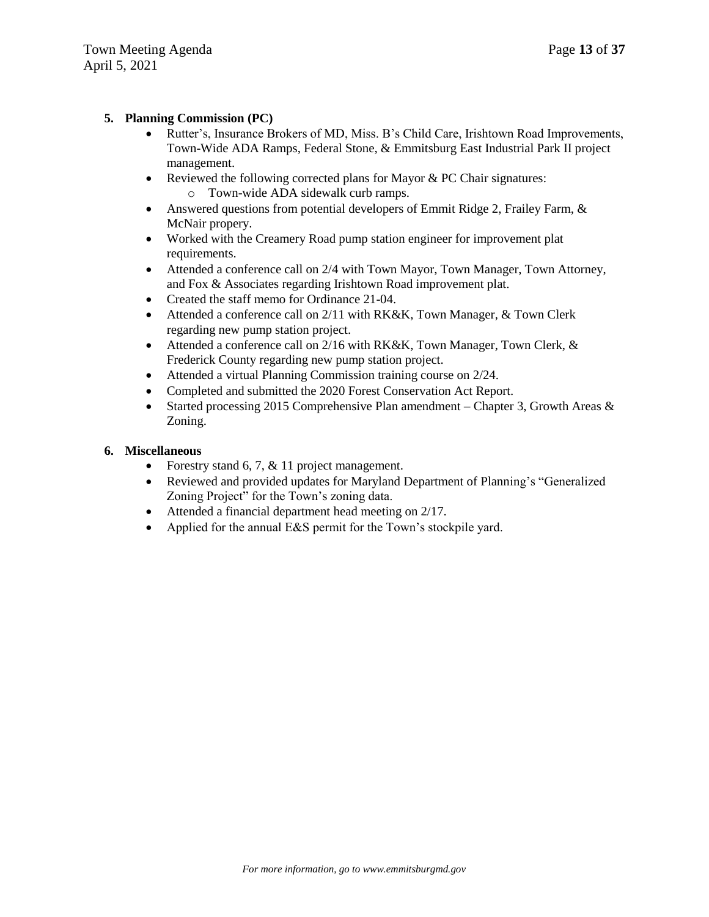### **5. Planning Commission (PC)**

- Rutter's, Insurance Brokers of MD, Miss. B's Child Care, Irishtown Road Improvements, Town-Wide ADA Ramps, Federal Stone, & Emmitsburg East Industrial Park II project management.
- Reviewed the following corrected plans for Mayor  $& PC$  Chair signatures: o Town-wide ADA sidewalk curb ramps.
- Answered questions from potential developers of Emmit Ridge 2, Frailey Farm, & McNair propery.
- Worked with the Creamery Road pump station engineer for improvement plat requirements.
- Attended a conference call on 2/4 with Town Mayor, Town Manager, Town Attorney, and Fox & Associates regarding Irishtown Road improvement plat.
- Created the staff memo for Ordinance 21-04.
- Attended a conference call on 2/11 with RK&K, Town Manager, & Town Clerk regarding new pump station project.
- Attended a conference call on 2/16 with RK&K, Town Manager, Town Clerk, & Frederick County regarding new pump station project.
- Attended a virtual Planning Commission training course on 2/24.
- Completed and submitted the 2020 Forest Conservation Act Report.
- Started processing 2015 Comprehensive Plan amendment Chapter 3, Growth Areas  $\&$ Zoning.

### **6. Miscellaneous**

- Forestry stand 6, 7,  $& 11$  project management.
- Reviewed and provided updates for Maryland Department of Planning's "Generalized Zoning Project" for the Town's zoning data.
- Attended a financial department head meeting on 2/17.
- Applied for the annual E&S permit for the Town's stockpile yard.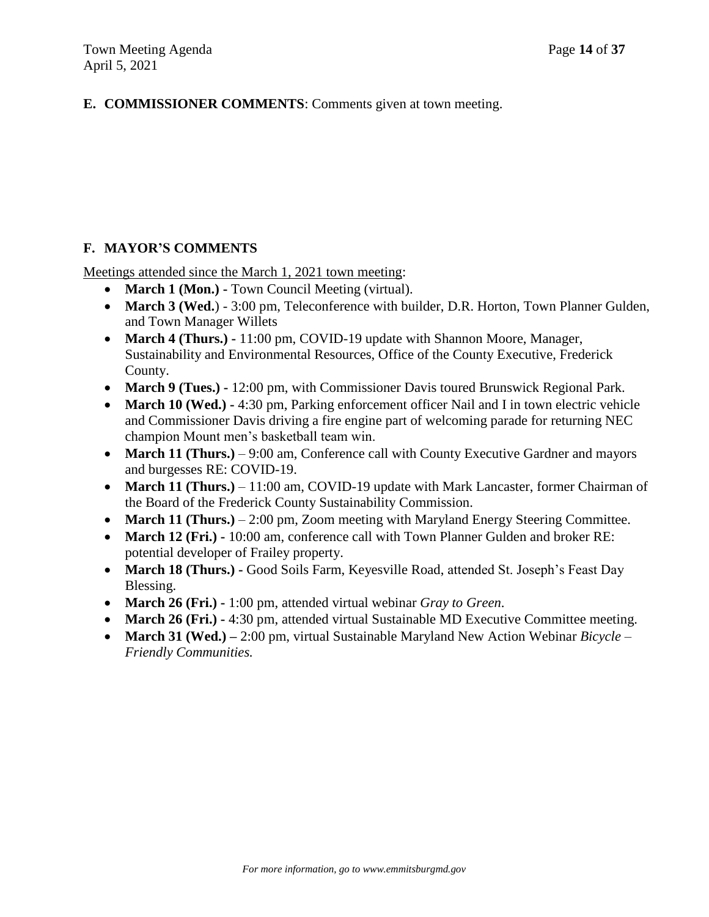## **E. COMMISSIONER COMMENTS**: Comments given at town meeting.

## **F. MAYOR'S COMMENTS**

Meetings attended since the March 1, 2021 town meeting:

- **March 1 (Mon.)** Town Council Meeting (virtual).
- **March 3 (Wed.**) 3:00 pm, Teleconference with builder, D.R. Horton, Town Planner Gulden, and Town Manager Willets
- **March 4 (Thurs.) -** 11:00 pm, COVID-19 update with Shannon Moore, Manager, Sustainability and Environmental Resources, Office of the County Executive, Frederick County.
- **March 9 (Tues.) -** 12:00 pm, with Commissioner Davis toured Brunswick Regional Park.
- March 10 (Wed.) 4:30 pm, Parking enforcement officer Nail and I in town electric vehicle and Commissioner Davis driving a fire engine part of welcoming parade for returning NEC champion Mount men's basketball team win.
- March 11 (Thurs.) 9:00 am, Conference call with County Executive Gardner and mayors and burgesses RE: COVID-19.
- March 11 (Thurs.) 11:00 am, COVID-19 update with Mark Lancaster, former Chairman of the Board of the Frederick County Sustainability Commission.
- March 11 (Thurs.) 2:00 pm, Zoom meeting with Maryland Energy Steering Committee.
- **March 12 (Fri.) -** 10:00 am, conference call with Town Planner Gulden and broker RE: potential developer of Frailey property.
- **March 18 (Thurs.) -** Good Soils Farm, Keyesville Road, attended St. Joseph's Feast Day Blessing.
- **March 26 (Fri.) -** 1:00 pm, attended virtual webinar *Gray to Green*.
- March 26 (Fri.) 4:30 pm, attended virtual Sustainable MD Executive Committee meeting.
- **March 31 (Wed.) –** 2:00 pm, virtual Sustainable Maryland New Action Webinar *Bicycle – Friendly Communities.*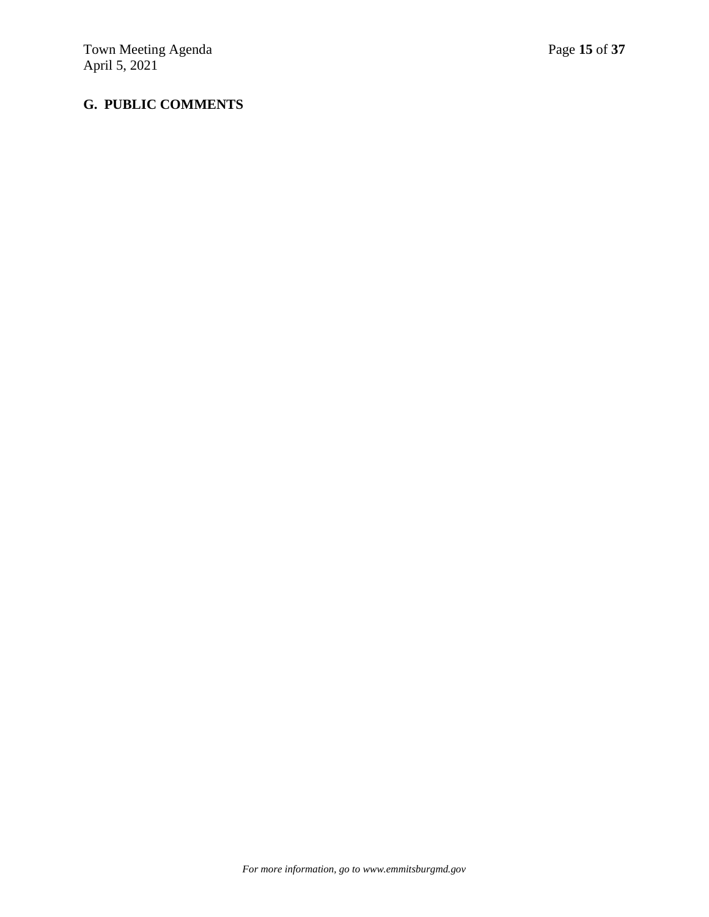# **G. PUBLIC COMMENTS**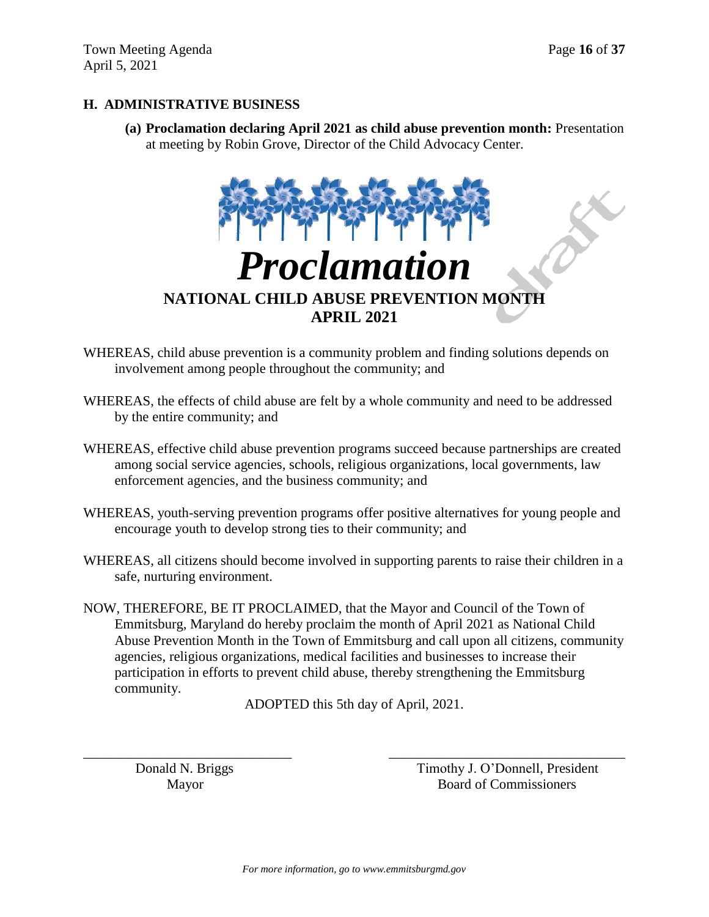## **H. ADMINISTRATIVE BUSINESS**

**(a) Proclamation declaring April 2021 as child abuse prevention month:** Presentation at meeting by Robin Grove, Director of the Child Advocacy Center.



- WHEREAS, child abuse prevention is a community problem and finding solutions depends on involvement among people throughout the community; and
- WHEREAS, the effects of child abuse are felt by a whole community and need to be addressed by the entire community; and
- WHEREAS, effective child abuse prevention programs succeed because partnerships are created among social service agencies, schools, religious organizations, local governments, law enforcement agencies, and the business community; and
- WHEREAS, youth-serving prevention programs offer positive alternatives for young people and encourage youth to develop strong ties to their community; and
- WHEREAS, all citizens should become involved in supporting parents to raise their children in a safe, nurturing environment.
- NOW, THEREFORE, BE IT PROCLAIMED, that the Mayor and Council of the Town of Emmitsburg, Maryland do hereby proclaim the month of April 2021 as National Child Abuse Prevention Month in the Town of Emmitsburg and call upon all citizens, community agencies, religious organizations, medical facilities and businesses to increase their participation in efforts to prevent child abuse, thereby strengthening the Emmitsburg community.

ADOPTED this 5th day of April, 2021.

\_\_\_\_\_\_\_\_\_\_\_\_\_\_\_\_\_\_\_\_\_\_\_\_\_\_\_\_\_\_ \_\_\_\_\_\_\_\_\_\_\_\_\_\_\_\_\_\_\_\_\_\_\_\_\_\_\_\_\_\_\_\_\_\_

Donald N. Briggs Timothy J. O'Donnell, President Mayor Board of Commissioners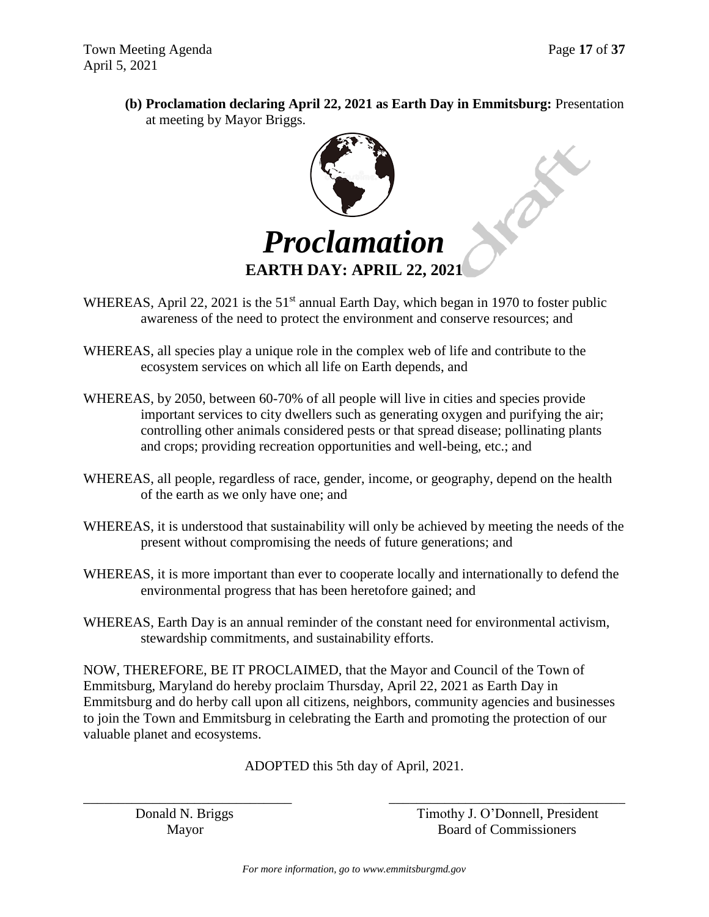**(b) Proclamation declaring April 22, 2021 as Earth Day in Emmitsburg:** Presentation at meeting by Mayor Briggs.



- WHEREAS, April 22, 2021 is the  $51<sup>st</sup>$  annual Earth Day, which began in 1970 to foster public awareness of the need to protect the environment and conserve resources; and
- WHEREAS, all species play a unique role in the complex web of life and contribute to the ecosystem services on which all life on Earth depends, and
- WHEREAS, by 2050, between 60-70% of all people will live in cities and species provide important services to city dwellers such as generating oxygen and purifying the air; controlling other animals considered pests or that spread disease; pollinating plants and crops; providing recreation opportunities and well-being, etc.; and
- WHEREAS, all people, regardless of race, gender, income, or geography, depend on the health of the earth as we only have one; and
- WHEREAS, it is understood that sustainability will only be achieved by meeting the needs of the present without compromising the needs of future generations; and
- WHEREAS, it is more important than ever to cooperate locally and internationally to defend the environmental progress that has been heretofore gained; and
- WHEREAS, Earth Day is an annual reminder of the constant need for environmental activism, stewardship commitments, and sustainability efforts.

NOW, THEREFORE, BE IT PROCLAIMED, that the Mayor and Council of the Town of Emmitsburg, Maryland do hereby proclaim Thursday, April 22, 2021 as Earth Day in Emmitsburg and do herby call upon all citizens, neighbors, community agencies and businesses to join the Town and Emmitsburg in celebrating the Earth and promoting the protection of our valuable planet and ecosystems.

ADOPTED this 5th day of April, 2021.

\_\_\_\_\_\_\_\_\_\_\_\_\_\_\_\_\_\_\_\_\_\_\_\_\_\_\_\_\_\_ \_\_\_\_\_\_\_\_\_\_\_\_\_\_\_\_\_\_\_\_\_\_\_\_\_\_\_\_\_\_\_\_\_\_

Donald N. Briggs Timothy J. O'Donnell, President Mayor Board of Commissioners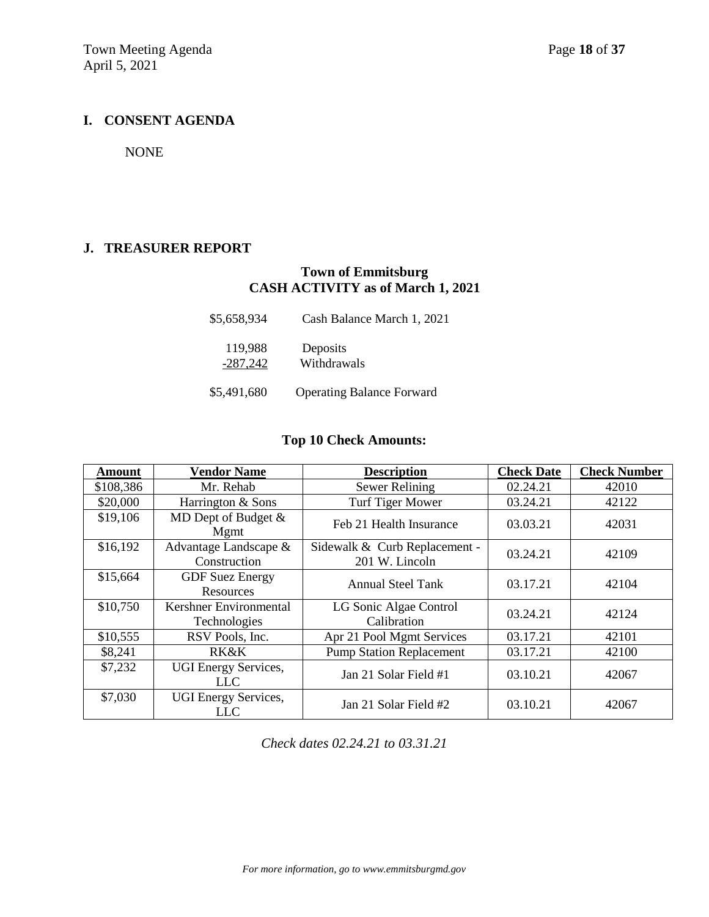### **I. CONSENT AGENDA**

NONE

### **J. TREASURER REPORT**

## **Town of Emmitsburg CASH ACTIVITY as of March 1, 2021**

| \$5,658,934           | Cash Balance March 1, 2021       |
|-----------------------|----------------------------------|
| 119,988<br>$-287,242$ | Deposits<br>Withdrawals          |
| \$5,491,680           | <b>Operating Balance Forward</b> |

## **Top 10 Check Amounts:**

| Amount    | <b>Vendor Name</b>                            | <b>Description</b>                              | <b>Check Date</b> | <b>Check Number</b> |
|-----------|-----------------------------------------------|-------------------------------------------------|-------------------|---------------------|
| \$108,386 | Mr. Rehab                                     | Sewer Relining                                  | 02.24.21          | 42010               |
| \$20,000  | Harrington & Sons                             | Turf Tiger Mower                                | 03.24.21          | 42122               |
| \$19,106  | MD Dept of Budget $&$<br>Mgmt                 | Feb 21 Health Insurance                         | 03.03.21          | 42031               |
| \$16,192  | Advantage Landscape &<br>Construction         | Sidewalk & Curb Replacement -<br>201 W. Lincoln | 03.24.21          | 42109               |
| \$15,664  | <b>GDF</b> Suez Energy<br>Resources           | <b>Annual Steel Tank</b>                        | 03.17.21          | 42104               |
| \$10,750  | Kershner Environmental<br><b>Technologies</b> | LG Sonic Algae Control<br>Calibration           | 03.24.21          | 42124               |
| \$10,555  | RSV Pools, Inc.                               | Apr 21 Pool Mgmt Services                       | 03.17.21          | 42101               |
| \$8,241   | <b>RK&amp;K</b>                               | <b>Pump Station Replacement</b>                 | 03.17.21          | 42100               |
| \$7,232   | <b>UGI Energy Services,</b><br>LLC            | Jan 21 Solar Field #1                           | 03.10.21          | 42067               |
| \$7,030   | <b>UGI Energy Services,</b><br>LLC            | Jan 21 Solar Field #2                           | 03.10.21          | 42067               |

*Check dates 02.24.21 to 03.31.21*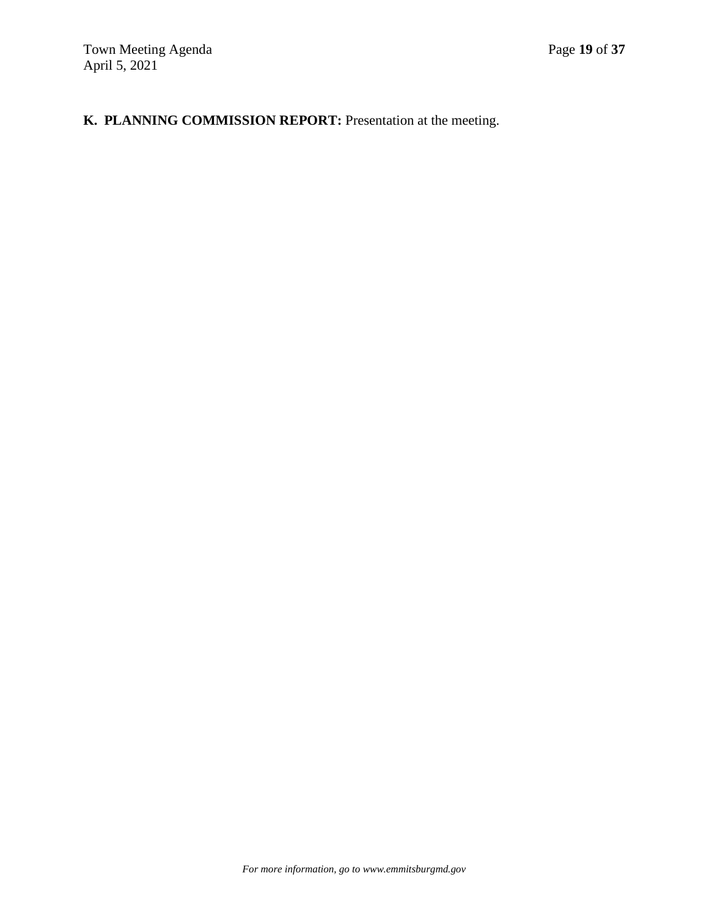## **K. PLANNING COMMISSION REPORT:** Presentation at the meeting.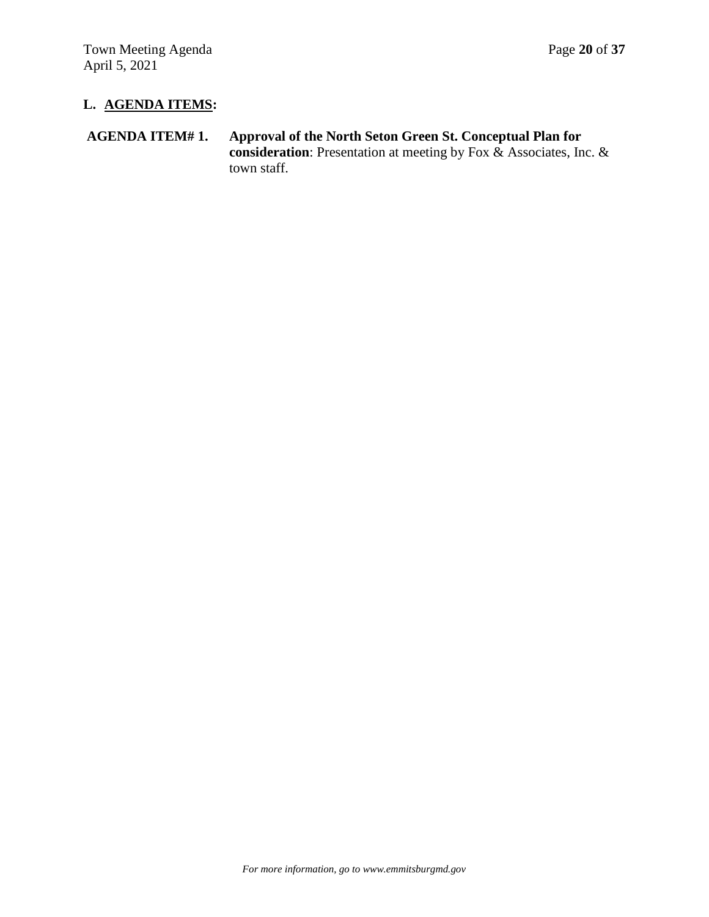# **L. AGENDA ITEMS:**

## **AGENDA ITEM# 1. Approval of the North Seton Green St. Conceptual Plan for consideration**: Presentation at meeting by Fox & Associates, Inc. & town staff.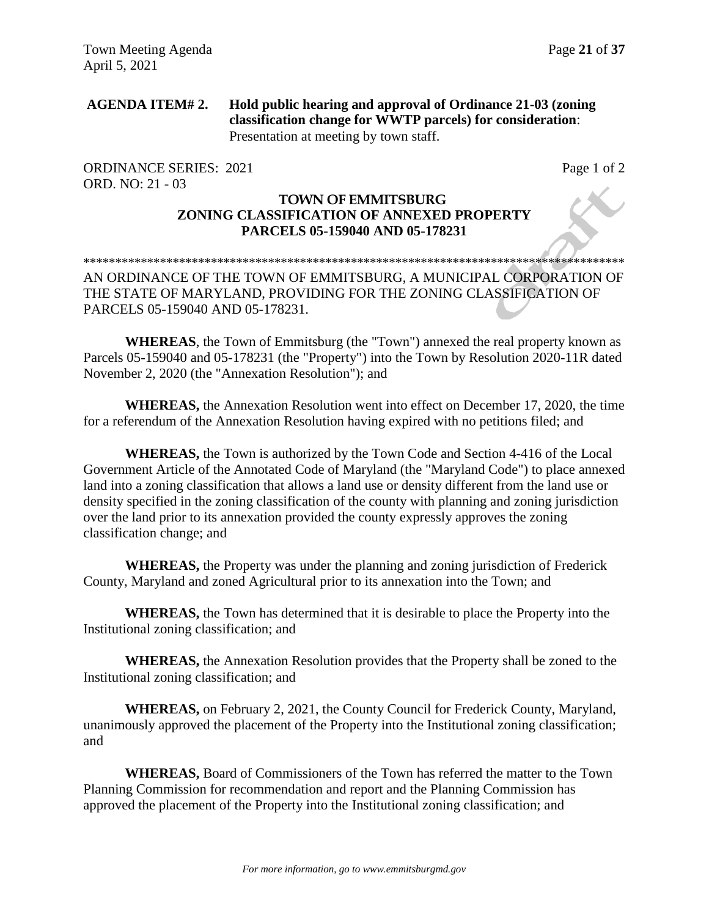## **AGENDA ITEM# 2. Hold public hearing and approval of Ordinance 21-03 (zoning classification change for WWTP parcels) for consideration**: Presentation at meeting by town staff.

ORDINANCE SERIES: 2021 Page 1 of 2 ORD. NO: 21 - 03

## **TOWN OF EMMITSBURG ZONING CLASSIFICATION OF ANNEXED PROPERTY PARCELS 05-159040 AND 05-178231**

### \*\*\*\*\*\*\*\*\*\*\*\*\*\*\*\*\*\*\*\*\*\*\*\*\*\*\*\*\*\*\*\*\*\*\*\*\*\*\*\*\*\*\*\*\*\*\*\*\*\*\*\*\*\*\*\*\*\*\*\*\*\*\*\*\*\*\*\*\*\*\*\*\*\*\*\*\*\*\*\*\*\*\*\*\* AN ORDINANCE OF THE TOWN OF EMMITSBURG, A MUNICIPAL CORPORATION OF THE STATE OF MARYLAND, PROVIDING FOR THE ZONING CLASSIFICATION OF PARCELS 05-159040 AND 05-178231.

**WHEREAS**, the Town of Emmitsburg (the "Town") annexed the real property known as Parcels 05-159040 and 05-178231 (the "Property") into the Town by Resolution 2020-11R dated November 2, 2020 (the "Annexation Resolution"); and

**WHEREAS,** the Annexation Resolution went into effect on December 17, 2020, the time for a referendum of the Annexation Resolution having expired with no petitions filed; and

**WHEREAS,** the Town is authorized by the Town Code and Section 4-416 of the Local Government Article of the Annotated Code of Maryland (the "Maryland Code") to place annexed land into a zoning classification that allows a land use or density different from the land use or density specified in the zoning classification of the county with planning and zoning jurisdiction over the land prior to its annexation provided the county expressly approves the zoning classification change; and

**WHEREAS,** the Property was under the planning and zoning jurisdiction of Frederick County, Maryland and zoned Agricultural prior to its annexation into the Town; and

**WHEREAS,** the Town has determined that it is desirable to place the Property into the Institutional zoning classification; and

**WHEREAS,** the Annexation Resolution provides that the Property shall be zoned to the Institutional zoning classification; and

**WHEREAS,** on February 2, 2021, the County Council for Frederick County, Maryland, unanimously approved the placement of the Property into the Institutional zoning classification; and

**WHEREAS,** Board of Commissioners of the Town has referred the matter to the Town Planning Commission for recommendation and report and the Planning Commission has approved the placement of the Property into the Institutional zoning classification; and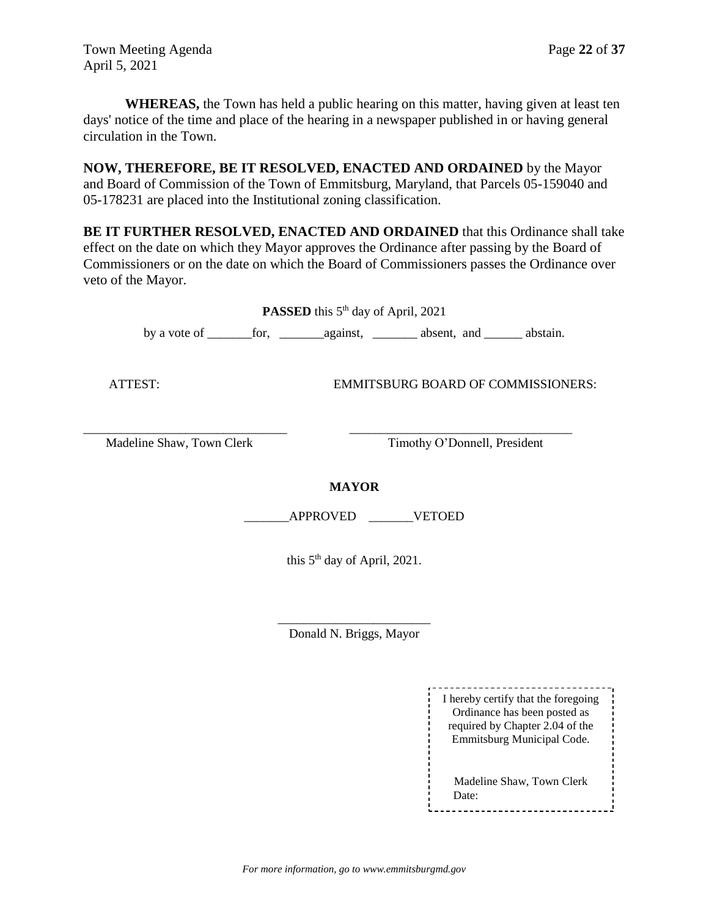Town Meeting Agenda Page 22 of 37 April 5, 2021

**WHEREAS,** the Town has held a public hearing on this matter, having given at least ten days' notice of the time and place of the hearing in a newspaper published in or having general circulation in the Town.

**NOW, THEREFORE, BE IT RESOLVED, ENACTED AND ORDAINED** by the Mayor and Board of Commission of the Town of Emmitsburg, Maryland, that Parcels 05-159040 and 05-178231 are placed into the Institutional zoning classification.

**BE IT FURTHER RESOLVED, ENACTED AND ORDAINED** that this Ordinance shall take effect on the date on which they Mayor approves the Ordinance after passing by the Board of Commissioners or on the date on which the Board of Commissioners passes the Ordinance over veto of the Mayor.

| <b>PASSED</b> this 5 <sup>th</sup> day of April, 2021 |                                                                   |                                           |  |  |  |
|-------------------------------------------------------|-------------------------------------------------------------------|-------------------------------------------|--|--|--|
|                                                       |                                                                   |                                           |  |  |  |
| ATTEST:                                               |                                                                   | <b>EMMITSBURG BOARD OF COMMISSIONERS:</b> |  |  |  |
| Madeline Shaw, Town Clerk                             |                                                                   | Timothy O'Donnell, President              |  |  |  |
|                                                       | <b>MAYOR</b><br>APPROVED VETOED<br>this $5th$ day of April, 2021. |                                           |  |  |  |
|                                                       |                                                                   |                                           |  |  |  |

Donald N. Briggs, Mayor

I hereby certify that the foregoing Ordinance has been posted as required by Chapter 2.04 of the Emmitsburg Municipal Code. Madeline Shaw, Town Clerk Date: t----------------------------------

*For more information, go to www.emmitsburgmd.gov*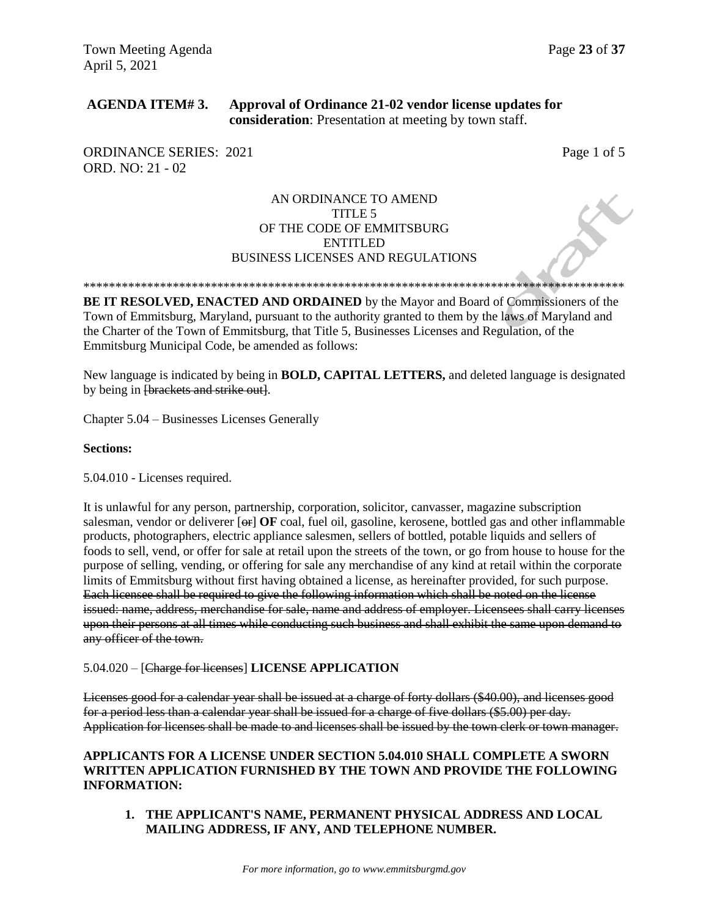### **AGENDA ITEM# 3. Approval of Ordinance 21-02 vendor license updates for consideration**: Presentation at meeting by town staff.

ORDINANCE SERIES: 2021 Page 1 of 5 ORD. NO: 21 - 02

### AN ORDINANCE TO AMEND TITLE 5 OF THE CODE OF EMMITSBURG ENTITLED BUSINESS LICENSES AND REGULATIONS

\*\*\*\*\*\*\*\*\*\*\*\*\*\*\*\*\*\*\*\*\*\*\*\*\*\*\*\*\*\*\*\*\*\*\*\*\*\*\*\*\*\*\*\*\*\*\*\*\*\*\*\*\*\*\*\*\*\*\*\*\*\*\*\*\*\*\*\*\*\*\*\*\*\*\*\*\*\*\*\*\*\*\*\*\*

**BE IT RESOLVED, ENACTED AND ORDAINED** by the Mayor and Board of Commissioners of the Town of Emmitsburg, Maryland, pursuant to the authority granted to them by the laws of Maryland and the Charter of the Town of Emmitsburg, that Title 5, Businesses Licenses and Regulation, of the Emmitsburg Municipal Code, be amended as follows:

New language is indicated by being in **BOLD, CAPITAL LETTERS,** and deleted language is designated by being in [brackets and strike out].

Chapter 5.04 – Businesses Licenses Generally

#### **Sections:**

5.04.010 - Licenses required.

It is unlawful for any person, partnership, corporation, solicitor, canvasser, magazine subscription salesman, vendor or deliverer [ $\Theta$ **F**] **OF** coal, fuel oil, gasoline, kerosene, bottled gas and other inflammable products, photographers, electric appliance salesmen, sellers of bottled, potable liquids and sellers of foods to sell, vend, or offer for sale at retail upon the streets of the town, or go from house to house for the purpose of selling, vending, or offering for sale any merchandise of any kind at retail within the corporate limits of Emmitsburg without first having obtained a license, as hereinafter provided, for such purpose. Each licensee shall be required to give the following information which shall be noted on the license issued: name, address, merchandise for sale, name and address of employer. Licensees shall carry licenses upon their persons at all times while conducting such business and shall exhibit the same upon demand to any officer of the town.

#### 5.04.020 – [Charge for licenses] **LICENSE APPLICATION**

Licenses good for a calendar year shall be issued at a charge of forty dollars (\$40.00), and licenses good for a period less than a calendar year shall be issued for a charge of five dollars (\$5.00) per day. Application for licenses shall be made to and licenses shall be issued by the town clerk or town manager.

### **APPLICANTS FOR A LICENSE UNDER SECTION 5.04.010 SHALL COMPLETE A SWORN WRITTEN APPLICATION FURNISHED BY THE TOWN AND PROVIDE THE FOLLOWING INFORMATION:**

**1. THE APPLICANT'S NAME, PERMANENT PHYSICAL ADDRESS AND LOCAL MAILING ADDRESS, IF ANY, AND TELEPHONE NUMBER.**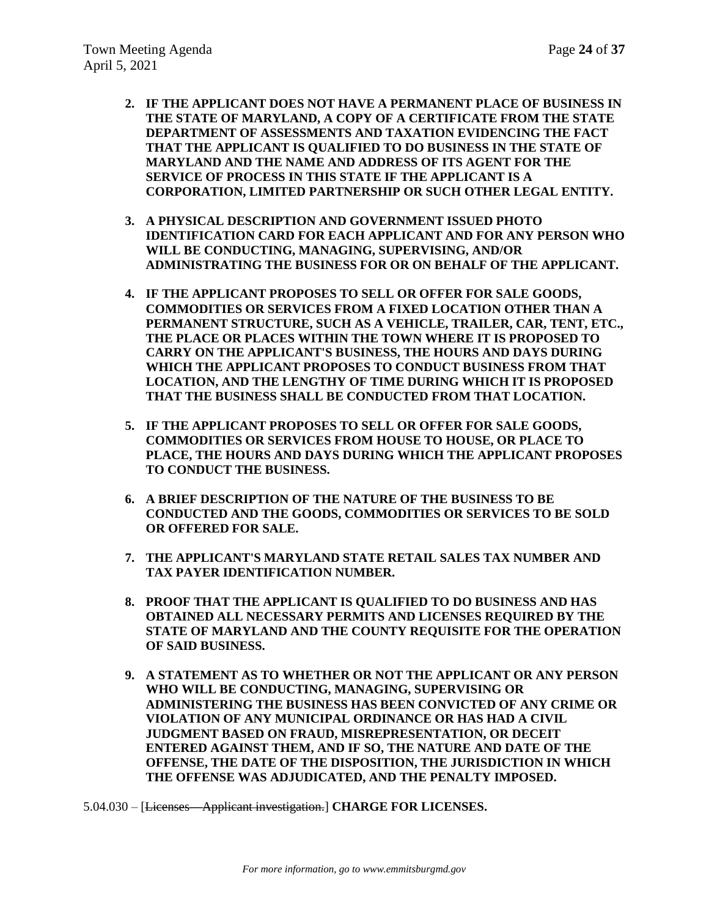- **2. IF THE APPLICANT DOES NOT HAVE A PERMANENT PLACE OF BUSINESS IN THE STATE OF MARYLAND, A COPY OF A CERTIFICATE FROM THE STATE DEPARTMENT OF ASSESSMENTS AND TAXATION EVIDENCING THE FACT THAT THE APPLICANT IS QUALIFIED TO DO BUSINESS IN THE STATE OF MARYLAND AND THE NAME AND ADDRESS OF ITS AGENT FOR THE SERVICE OF PROCESS IN THIS STATE IF THE APPLICANT IS A CORPORATION, LIMITED PARTNERSHIP OR SUCH OTHER LEGAL ENTITY.**
- **3. A PHYSICAL DESCRIPTION AND GOVERNMENT ISSUED PHOTO IDENTIFICATION CARD FOR EACH APPLICANT AND FOR ANY PERSON WHO WILL BE CONDUCTING, MANAGING, SUPERVISING, AND/OR ADMINISTRATING THE BUSINESS FOR OR ON BEHALF OF THE APPLICANT.**
- **4. IF THE APPLICANT PROPOSES TO SELL OR OFFER FOR SALE GOODS, COMMODITIES OR SERVICES FROM A FIXED LOCATION OTHER THAN A PERMANENT STRUCTURE, SUCH AS A VEHICLE, TRAILER, CAR, TENT, ETC., THE PLACE OR PLACES WITHIN THE TOWN WHERE IT IS PROPOSED TO CARRY ON THE APPLICANT'S BUSINESS, THE HOURS AND DAYS DURING WHICH THE APPLICANT PROPOSES TO CONDUCT BUSINESS FROM THAT LOCATION, AND THE LENGTHY OF TIME DURING WHICH IT IS PROPOSED THAT THE BUSINESS SHALL BE CONDUCTED FROM THAT LOCATION.**
- **5. IF THE APPLICANT PROPOSES TO SELL OR OFFER FOR SALE GOODS, COMMODITIES OR SERVICES FROM HOUSE TO HOUSE, OR PLACE TO PLACE, THE HOURS AND DAYS DURING WHICH THE APPLICANT PROPOSES TO CONDUCT THE BUSINESS.**
- **6. A BRIEF DESCRIPTION OF THE NATURE OF THE BUSINESS TO BE CONDUCTED AND THE GOODS, COMMODITIES OR SERVICES TO BE SOLD OR OFFERED FOR SALE.**
- **7. THE APPLICANT'S MARYLAND STATE RETAIL SALES TAX NUMBER AND TAX PAYER IDENTIFICATION NUMBER.**
- **8. PROOF THAT THE APPLICANT IS QUALIFIED TO DO BUSINESS AND HAS OBTAINED ALL NECESSARY PERMITS AND LICENSES REQUIRED BY THE STATE OF MARYLAND AND THE COUNTY REQUISITE FOR THE OPERATION OF SAID BUSINESS.**
- **9. A STATEMENT AS TO WHETHER OR NOT THE APPLICANT OR ANY PERSON WHO WILL BE CONDUCTING, MANAGING, SUPERVISING OR ADMINISTERING THE BUSINESS HAS BEEN CONVICTED OF ANY CRIME OR VIOLATION OF ANY MUNICIPAL ORDINANCE OR HAS HAD A CIVIL JUDGMENT BASED ON FRAUD, MISREPRESENTATION, OR DECEIT ENTERED AGAINST THEM, AND IF SO, THE NATURE AND DATE OF THE OFFENSE, THE DATE OF THE DISPOSITION, THE JURISDICTION IN WHICH THE OFFENSE WAS ADJUDICATED, AND THE PENALTY IMPOSED.**

5.04.030 – [Licenses—Applicant investigation.] **CHARGE FOR LICENSES.**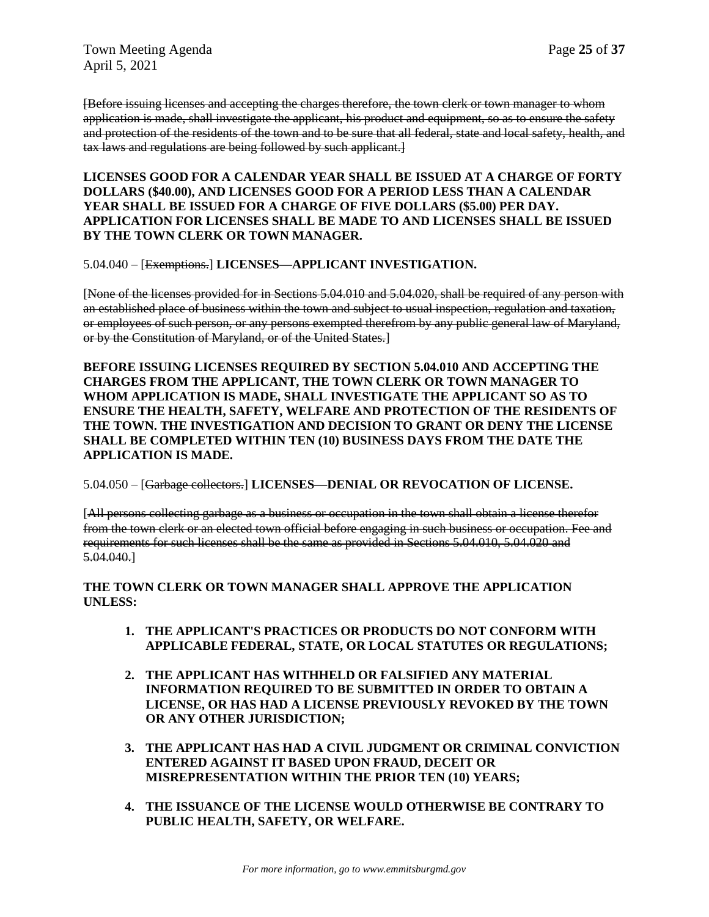[Before issuing licenses and accepting the charges therefore, the town clerk or town manager to whom application is made, shall investigate the applicant, his product and equipment, so as to ensure the safety and protection of the residents of the town and to be sure that all federal, state and local safety, health, and tax laws and regulations are being followed by such applicant.]

**LICENSES GOOD FOR A CALENDAR YEAR SHALL BE ISSUED AT A CHARGE OF FORTY DOLLARS (\$40.00), AND LICENSES GOOD FOR A PERIOD LESS THAN A CALENDAR YEAR SHALL BE ISSUED FOR A CHARGE OF FIVE DOLLARS (\$5.00) PER DAY. APPLICATION FOR LICENSES SHALL BE MADE TO AND LICENSES SHALL BE ISSUED BY THE TOWN CLERK OR TOWN MANAGER.**

### 5.04.040 – [Exemptions.] **LICENSES—APPLICANT INVESTIGATION.**

[None of the licenses provided for in Sections 5.04.010 and 5.04.020, shall be required of any person with an established place of business within the town and subject to usual inspection, regulation and taxation, or employees of such person, or any persons exempted therefrom by any public general law of Maryland, or by the Constitution of Maryland, or of the United States.]

**BEFORE ISSUING LICENSES REQUIRED BY SECTION 5.04.010 AND ACCEPTING THE CHARGES FROM THE APPLICANT, THE TOWN CLERK OR TOWN MANAGER TO WHOM APPLICATION IS MADE, SHALL INVESTIGATE THE APPLICANT SO AS TO ENSURE THE HEALTH, SAFETY, WELFARE AND PROTECTION OF THE RESIDENTS OF THE TOWN. THE INVESTIGATION AND DECISION TO GRANT OR DENY THE LICENSE SHALL BE COMPLETED WITHIN TEN (10) BUSINESS DAYS FROM THE DATE THE APPLICATION IS MADE.**

### 5.04.050 – [Garbage collectors.] **LICENSES—DENIAL OR REVOCATION OF LICENSE.**

[All persons collecting garbage as a business or occupation in the town shall obtain a license therefor from the town clerk or an elected town official before engaging in such business or occupation. Fee and requirements for such licenses shall be the same as provided in Sections 5.04.010, 5.04.020 and 5.04.040.]

### **THE TOWN CLERK OR TOWN MANAGER SHALL APPROVE THE APPLICATION UNLESS:**

- **1. THE APPLICANT'S PRACTICES OR PRODUCTS DO NOT CONFORM WITH APPLICABLE FEDERAL, STATE, OR LOCAL STATUTES OR REGULATIONS;**
- **2. THE APPLICANT HAS WITHHELD OR FALSIFIED ANY MATERIAL INFORMATION REQUIRED TO BE SUBMITTED IN ORDER TO OBTAIN A LICENSE, OR HAS HAD A LICENSE PREVIOUSLY REVOKED BY THE TOWN OR ANY OTHER JURISDICTION;**
- **3. THE APPLICANT HAS HAD A CIVIL JUDGMENT OR CRIMINAL CONVICTION ENTERED AGAINST IT BASED UPON FRAUD, DECEIT OR MISREPRESENTATION WITHIN THE PRIOR TEN (10) YEARS;**
- **4. THE ISSUANCE OF THE LICENSE WOULD OTHERWISE BE CONTRARY TO PUBLIC HEALTH, SAFETY, OR WELFARE.**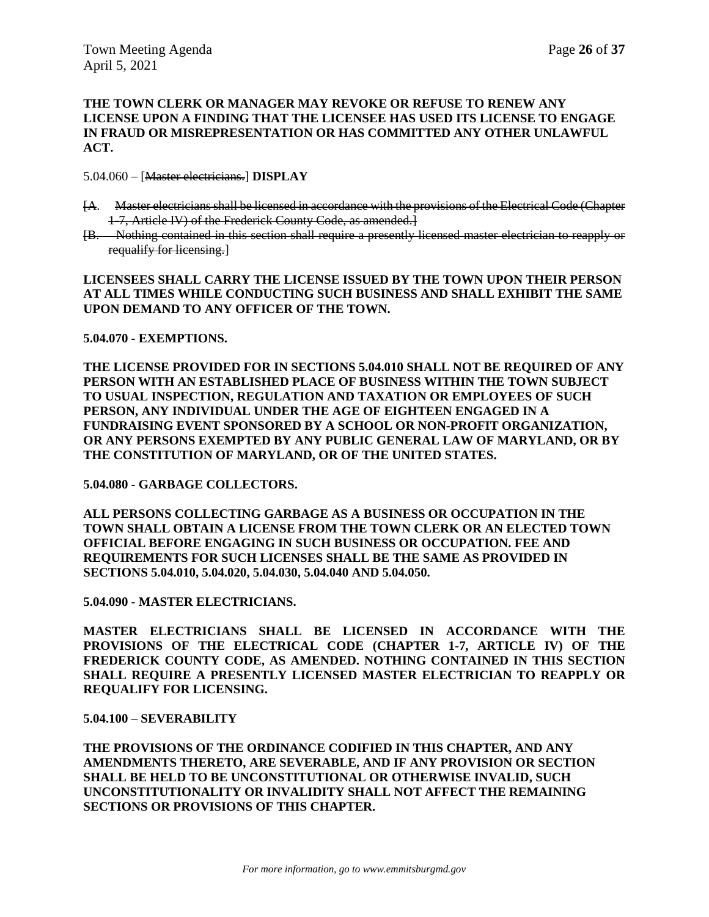#### **THE TOWN CLERK OR MANAGER MAY REVOKE OR REFUSE TO RENEW ANY LICENSE UPON A FINDING THAT THE LICENSEE HAS USED ITS LICENSE TO ENGAGE IN FRAUD OR MISREPRESENTATION OR HAS COMMITTED ANY OTHER UNLAWFUL ACT.**

5.04.060 – [Master electricians.] **DISPLAY**

- [A. Master electricians shall be licensed in accordance with the provisions of the Electrical Code (Chapter 1-7, Article IV) of the Frederick County Code, as amended.]
- [B. Nothing contained in this section shall require a presently licensed master electrician to reapply or requalify for licensing.]

**LICENSEES SHALL CARRY THE LICENSE ISSUED BY THE TOWN UPON THEIR PERSON AT ALL TIMES WHILE CONDUCTING SUCH BUSINESS AND SHALL EXHIBIT THE SAME UPON DEMAND TO ANY OFFICER OF THE TOWN.**

#### **5.04.070 - EXEMPTIONS.**

**THE LICENSE PROVIDED FOR IN SECTIONS 5.04.010 SHALL NOT BE REQUIRED OF ANY PERSON WITH AN ESTABLISHED PLACE OF BUSINESS WITHIN THE TOWN SUBJECT TO USUAL INSPECTION, REGULATION AND TAXATION OR EMPLOYEES OF SUCH PERSON, ANY INDIVIDUAL UNDER THE AGE OF EIGHTEEN ENGAGED IN A FUNDRAISING EVENT SPONSORED BY A SCHOOL OR NON-PROFIT ORGANIZATION, OR ANY PERSONS EXEMPTED BY ANY PUBLIC GENERAL LAW OF MARYLAND, OR BY THE CONSTITUTION OF MARYLAND, OR OF THE UNITED STATES.** 

### **5.04.080 - GARBAGE COLLECTORS.**

**ALL PERSONS COLLECTING GARBAGE AS A BUSINESS OR OCCUPATION IN THE TOWN SHALL OBTAIN A LICENSE FROM THE TOWN CLERK OR AN ELECTED TOWN OFFICIAL BEFORE ENGAGING IN SUCH BUSINESS OR OCCUPATION. FEE AND REQUIREMENTS FOR SUCH LICENSES SHALL BE THE SAME AS PROVIDED IN SECTIONS 5.04.010, 5.04.020, 5.04.030, 5.04.040 AND 5.04.050.** 

**5.04.090 - MASTER ELECTRICIANS.** 

**MASTER ELECTRICIANS SHALL BE LICENSED IN ACCORDANCE WITH THE PROVISIONS OF THE ELECTRICAL CODE (CHAPTER 1-7, ARTICLE IV) OF THE FREDERICK COUNTY CODE, AS AMENDED. NOTHING CONTAINED IN THIS SECTION SHALL REQUIRE A PRESENTLY LICENSED MASTER ELECTRICIAN TO REAPPLY OR REQUALIFY FOR LICENSING.** 

#### **5.04.100 – SEVERABILITY**

**THE PROVISIONS OF THE ORDINANCE CODIFIED IN THIS CHAPTER, AND ANY AMENDMENTS THERETO, ARE SEVERABLE, AND IF ANY PROVISION OR SECTION SHALL BE HELD TO BE UNCONSTITUTIONAL OR OTHERWISE INVALID, SUCH UNCONSTITUTIONALITY OR INVALIDITY SHALL NOT AFFECT THE REMAINING SECTIONS OR PROVISIONS OF THIS CHAPTER.**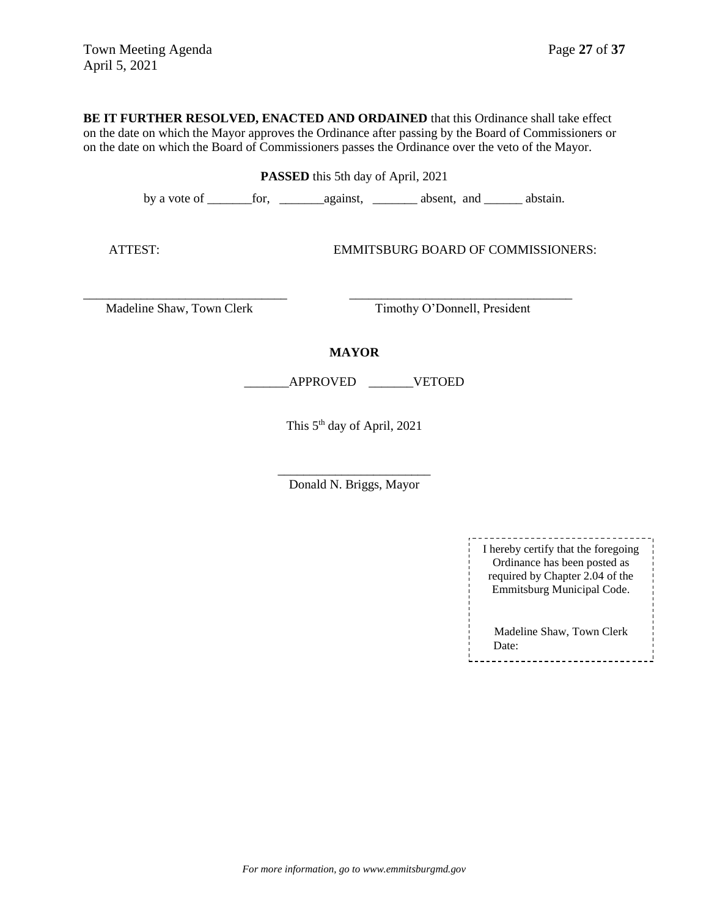**BE IT FURTHER RESOLVED, ENACTED AND ORDAINED** that this Ordinance shall take effect on the date on which the Mayor approves the Ordinance after passing by the Board of Commissioners or on the date on which the Board of Commissioners passes the Ordinance over the veto of the Mayor.

**PASSED** this 5th day of April, 2021

by a vote of \_\_\_\_\_\_\_for, \_\_\_\_\_\_\_against, \_\_\_\_\_\_\_ absent, and \_\_\_\_\_\_ abstain.

ATTEST: EMMITSBURG BOARD OF COMMISSIONERS:

Madeline Shaw, Town Clerk Timothy O'Donnell, President

### **MAYOR**

\_\_\_\_\_\_\_\_\_\_\_\_\_\_\_\_\_\_\_\_\_\_\_\_\_\_\_\_\_\_\_\_ \_\_\_\_\_\_\_\_\_\_\_\_\_\_\_\_\_\_\_\_\_\_\_\_\_\_\_\_\_\_\_\_\_\_\_

\_\_\_\_\_\_\_APPROVED \_\_\_\_\_\_\_VETOED

This 5th day of April, 2021

\_\_\_\_\_\_\_\_\_\_\_\_\_\_\_\_\_\_\_\_\_\_\_\_ Donald N. Briggs, Mayor

| I hereby certify that the foregoing<br>Ordinance has been posted as<br>required by Chapter 2.04 of the<br>Emmitsburg Municipal Code. |
|--------------------------------------------------------------------------------------------------------------------------------------|
| Madeline Shaw, Town Clerk<br>Date:                                                                                                   |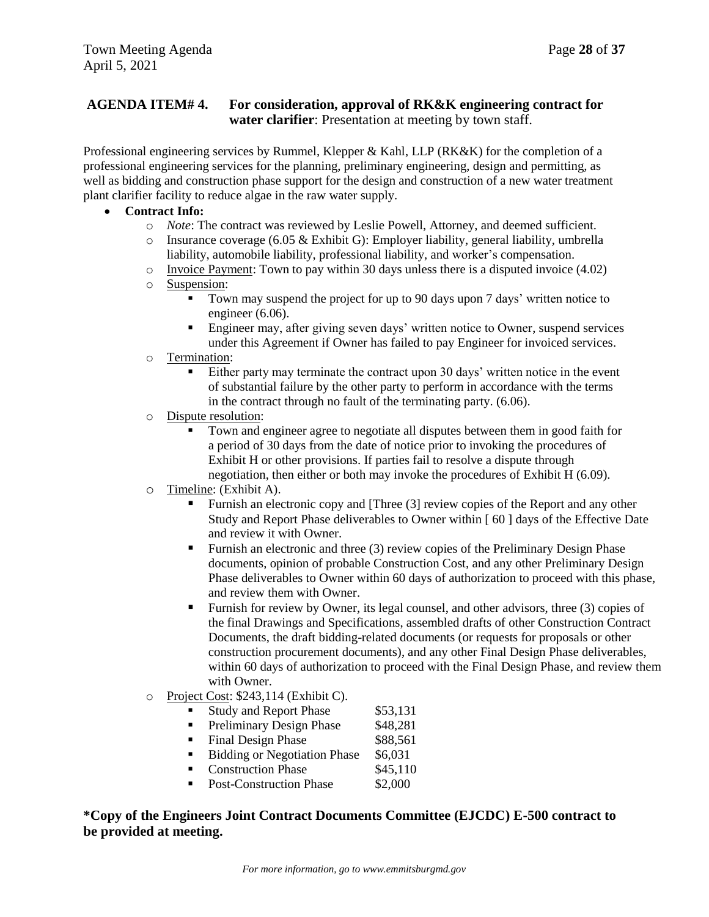## **AGENDA ITEM# 4. For consideration, approval of RK&K engineering contract for water clarifier**: Presentation at meeting by town staff.

Professional engineering services by Rummel, Klepper & Kahl, LLP (RK&K) for the completion of a professional engineering services for the planning, preliminary engineering, design and permitting, as well as bidding and construction phase support for the design and construction of a new water treatment plant clarifier facility to reduce algae in the raw water supply.

- **Contract Info:**
	- o *Note*: The contract was reviewed by Leslie Powell, Attorney, and deemed sufficient.
	- $\circ$  Insurance coverage (6.05 & Exhibit G): Employer liability, general liability, umbrella liability, automobile liability, professional liability, and worker's compensation.
	- $\circ$  Invoice Payment: Town to pay within 30 days unless there is a disputed invoice (4.02)
	- o Suspension:
		- Town may suspend the project for up to 90 days upon 7 days' written notice to engineer (6.06).
		- Engineer may, after giving seven days' written notice to Owner, suspend services under this Agreement if Owner has failed to pay Engineer for invoiced services.
	- o Termination:
		- Either party may terminate the contract upon 30 days' written notice in the event of substantial failure by the other party to perform in accordance with the terms in the contract through no fault of the terminating party. (6.06).
	- o Dispute resolution:
		- Town and engineer agree to negotiate all disputes between them in good faith for a period of 30 days from the date of notice prior to invoking the procedures of Exhibit H or other provisions. If parties fail to resolve a dispute through negotiation, then either or both may invoke the procedures of Exhibit H (6.09).
	- o Timeline: (Exhibit A).
		- Furnish an electronic copy and [Three (3] review copies of the Report and any other Study and Report Phase deliverables to Owner within [ 60 ] days of the Effective Date and review it with Owner.
		- Furnish an electronic and three (3) review copies of the Preliminary Design Phase documents, opinion of probable Construction Cost, and any other Preliminary Design Phase deliverables to Owner within 60 days of authorization to proceed with this phase, and review them with Owner.
		- Furnish for review by Owner, its legal counsel, and other advisors, three (3) copies of the final Drawings and Specifications, assembled drafts of other Construction Contract Documents, the draft bidding-related documents (or requests for proposals or other construction procurement documents), and any other Final Design Phase deliverables, within 60 days of authorization to proceed with the Final Design Phase, and review them with Owner.
	- o Project Cost: \$243,114 (Exhibit C).
		- Study and Report Phase \$53,131
		- Preliminary Design Phase \$48,281
		- Final Design Phase \$88,561
		- Bidding or Negotiation Phase \$6,031
		- Construction Phase \$45,110
		- Post-Construction Phase \$2,000

**\*Copy of the Engineers Joint Contract Documents Committee (EJCDC) E-500 contract to be provided at meeting.**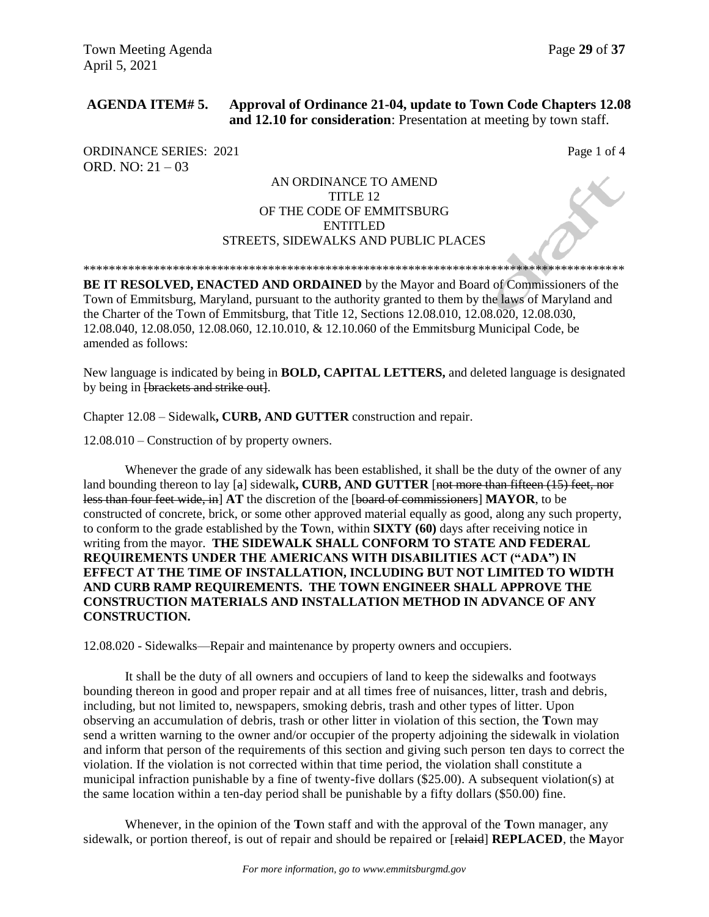## **AGENDA ITEM# 5. Approval of Ordinance 21-04, update to Town Code Chapters 12.08 and 12.10 for consideration**: Presentation at meeting by town staff.

ORDINANCE SERIES: 2021 Page 1 of 4 ORD. NO: 21 – 03

### AN ORDINANCE TO AMEND TITLE 12 OF THE CODE OF EMMITSBURG ENTITLED STREETS, SIDEWALKS AND PUBLIC PLACES

\*\*\*\*\*\*\*\*\*\*\*\*\*\*\*\*\*\*\*\*\*\*\*\*\*\*\*\*\*\*\*\*\*\*\*\*\*\*\*\*\*\*\*\*\*\*\*\*\*\*\*\*\*\*\*\*\*\*\*\*\*\*\*\*\*\*\*\*\*\*\*\*\*\*\*\*\*\*\*\*\*\*\*\*\*

**BE IT RESOLVED, ENACTED AND ORDAINED** by the Mayor and Board of Commissioners of the Town of Emmitsburg, Maryland, pursuant to the authority granted to them by the laws of Maryland and the Charter of the Town of Emmitsburg, that Title 12, Sections 12.08.010, 12.08.020, 12.08.030, 12.08.040, 12.08.050, 12.08.060, 12.10.010, & 12.10.060 of the Emmitsburg Municipal Code, be amended as follows:

New language is indicated by being in **BOLD, CAPITAL LETTERS,** and deleted language is designated by being in **[brackets and strike out**].

Chapter 12.08 – Sidewalk**, CURB, AND GUTTER** construction and repair.

12.08.010 – Construction of by property owners.

Whenever the grade of any sidewalk has been established, it shall be the duty of the owner of any land bounding thereon to lay [a] sidewalk, **CURB, AND GUTTER** [not more than fifteen (15) feet, nor less than four feet wide, in] **AT** the discretion of the [board of commissioners] **MAYOR**, to be constructed of concrete, brick, or some other approved material equally as good, along any such property, to conform to the grade established by the **T**own, within **SIXTY (60)** days after receiving notice in writing from the mayor. **THE SIDEWALK SHALL CONFORM TO STATE AND FEDERAL REQUIREMENTS UNDER THE AMERICANS WITH DISABILITIES ACT ("ADA") IN EFFECT AT THE TIME OF INSTALLATION, INCLUDING BUT NOT LIMITED TO WIDTH AND CURB RAMP REQUIREMENTS. THE TOWN ENGINEER SHALL APPROVE THE CONSTRUCTION MATERIALS AND INSTALLATION METHOD IN ADVANCE OF ANY CONSTRUCTION.**

12.08.020 - Sidewalks—Repair and maintenance by property owners and occupiers.

It shall be the duty of all owners and occupiers of land to keep the sidewalks and footways bounding thereon in good and proper repair and at all times free of nuisances, litter, trash and debris, including, but not limited to, newspapers, smoking debris, trash and other types of litter. Upon observing an accumulation of debris, trash or other litter in violation of this section, the **T**own may send a written warning to the owner and/or occupier of the property adjoining the sidewalk in violation and inform that person of the requirements of this section and giving such person ten days to correct the violation. If the violation is not corrected within that time period, the violation shall constitute a municipal infraction punishable by a fine of twenty-five dollars (\$25.00). A subsequent violation(s) at the same location within a ten-day period shall be punishable by a fifty dollars (\$50.00) fine.

Whenever, in the opinion of the **T**own staff and with the approval of the **T**own manager, any sidewalk, or portion thereof, is out of repair and should be repaired or [relaid] **REPLACED**, the **M**ayor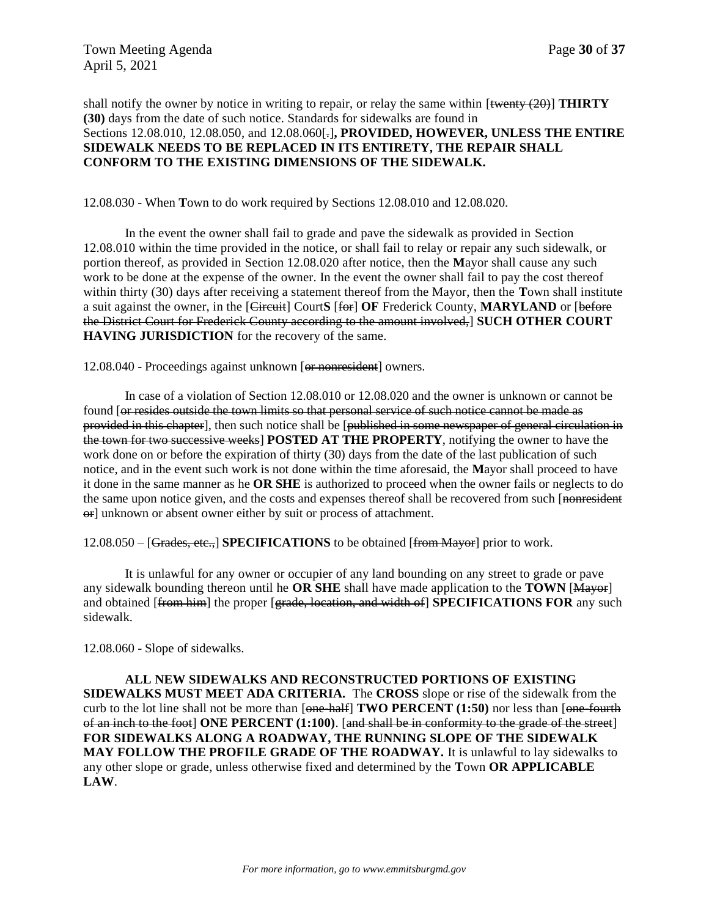shall notify the owner by notice in writing to repair, or relay the same within [twenty (20)] **THIRTY (30)** days from the date of such notice. Standards for sidewalks are found in Sections [12.08.010,](https://library.municode.com/md/emmitsburg/codes/code_of_ordinances?nodeId=TIT12STSIPUPL_CH12.08SICORE_12.08.010SIONPROW) [12.08.050,](https://library.municode.com/md/emmitsburg/codes/code_of_ordinances?nodeId=TIT12STSIPUPL_CH12.08SICORE_12.08.050GRETBEOBMAPRWO) and [12.08.060\[](https://library.municode.com/md/emmitsburg/codes/code_of_ordinances?nodeId=TIT12STSIPUPL_CH12.08SICORE_12.08.060SLSI).]**, PROVIDED, HOWEVER, UNLESS THE ENTIRE SIDEWALK NEEDS TO BE REPLACED IN ITS ENTIRETY, THE REPAIR SHALL CONFORM TO THE EXISTING DIMENSIONS OF THE SIDEWALK.**

12.08.030 - When **T**own to do work required by Sections 12.08.010 and 12.08.020.

In the event the owner shall fail to grade and pave the sidewalk as provided in [Section](https://library.municode.com/md/emmitsburg/codes/code_of_ordinances?nodeId=TIT12STSIPUPL_CH12.08SICORE_12.08.010SIONPROW)  [12.08.010](https://library.municode.com/md/emmitsburg/codes/code_of_ordinances?nodeId=TIT12STSIPUPL_CH12.08SICORE_12.08.010SIONPROW) within the time provided in the notice, or shall fail to relay or repair any such sidewalk, or portion thereof, as provided in [Section 12.08.020](https://library.municode.com/md/emmitsburg/codes/code_of_ordinances?nodeId=TIT12STSIPUPL_CH12.08SICORE_12.08.020SIEPMAPROWOC) after notice, then the **M**ayor shall cause any such work to be done at the expense of the owner. In the event the owner shall fail to pay the cost thereof within thirty (30) days after receiving a statement thereof from the Mayor, then the **T**own shall institute a suit against the owner, in the [Circuit] Court**S** [for] **OF** Frederick County, **MARYLAND** or [before the District Court for Frederick County according to the amount involved,] **SUCH OTHER COURT HAVING JURISDICTION** for the recovery of the same.

12.08.040 - Proceedings against unknown [or nonresident] owners.

In case of a violation of Section 12.08.010 or 12.08.020 and the owner is unknown or cannot be found [or resides outside the town limits so that personal service of such notice cannot be made as provided in this chapter], then such notice shall be [published in some newspaper of general circulation in the town for two successive weeks] **POSTED AT THE PROPERTY**, notifying the owner to have the work done on or before the expiration of thirty (30) days from the date of the last publication of such notice, and in the event such work is not done within the time aforesaid, the **M**ayor shall proceed to have it done in the same manner as he **OR SHE** is authorized to proceed when the owner fails or neglects to do the same upon notice given, and the costs and expenses thereof shall be recovered from such [nonresident] or] unknown or absent owner either by suit or process of attachment.

12.08.050 – [Grades, etc.,] **SPECIFICATIONS** to be obtained [from Mayor] prior to work.

It is unlawful for any owner or occupier of any land bounding on any street to grade or pave any sidewalk bounding thereon until he **OR SHE** shall have made application to the **TOWN** [Mayor] and obtained [from him] the proper [grade, location, and width of] **SPECIFICATIONS FOR** any such sidewalk.

12.08.060 - Slope of sidewalks.

**ALL NEW SIDEWALKS AND RECONSTRUCTED PORTIONS OF EXISTING SIDEWALKS MUST MEET ADA CRITERIA.** The **CROSS** slope or rise of the sidewalk from the curb to the lot line shall not be more than [one-half] **TWO PERCENT (1:50)** nor less than [one-fourth of an inch to the foot] **ONE PERCENT (1:100)**. [and shall be in conformity to the grade of the street] **FOR SIDEWALKS ALONG A ROADWAY, THE RUNNING SLOPE OF THE SIDEWALK MAY FOLLOW THE PROFILE GRADE OF THE ROADWAY.** It is unlawful to lay sidewalks to any other slope or grade, unless otherwise fixed and determined by the **T**own **OR APPLICABLE LAW**.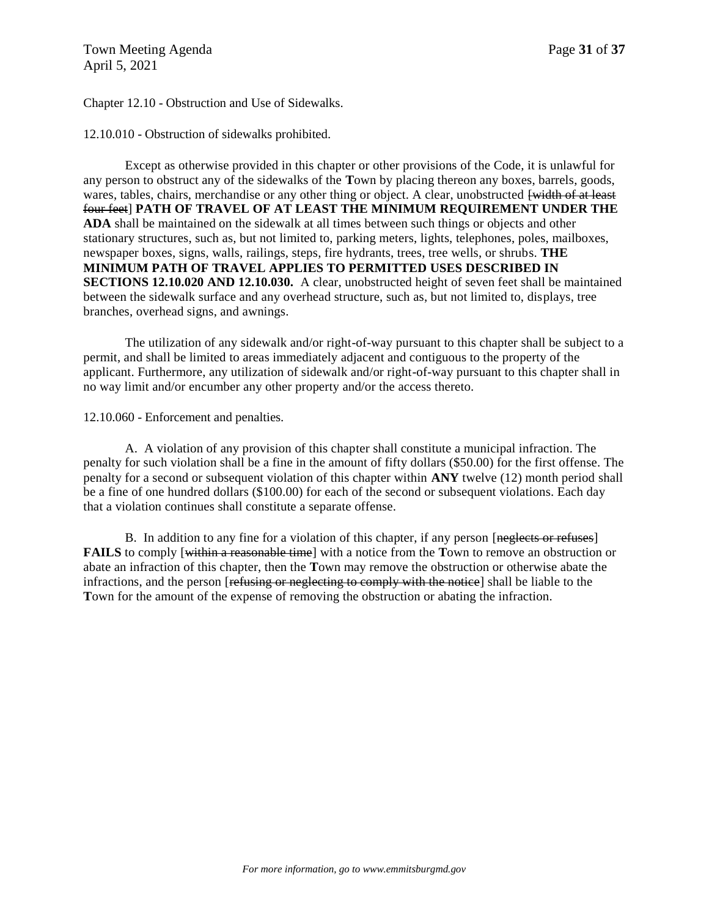Chapter 12.10 - Obstruction and Use of Sidewalks.

12.10.010 - Obstruction of sidewalks prohibited.

Except as otherwise provided in this chapter or other provisions of the Code, it is unlawful for any person to obstruct any of the sidewalks of the **T**own by placing thereon any boxes, barrels, goods, wares, tables, chairs, merchandise or any other thing or object. A clear, unobstructed [width of at least] four feet] **PATH OF TRAVEL OF AT LEAST THE MINIMUM REQUIREMENT UNDER THE ADA** shall be maintained on the sidewalk at all times between such things or objects and other stationary structures, such as, but not limited to, parking meters, lights, telephones, poles, mailboxes, newspaper boxes, signs, walls, railings, steps, fire hydrants, trees, tree wells, or shrubs. **THE MINIMUM PATH OF TRAVEL APPLIES TO PERMITTED USES DESCRIBED IN SECTIONS 12.10.020 AND 12.10.030.** A clear, unobstructed height of seven feet shall be maintained between the sidewalk surface and any overhead structure, such as, but not limited to, displays, tree branches, overhead signs, and awnings.

The utilization of any sidewalk and/or right-of-way pursuant to this chapter shall be subject to a permit, and shall be limited to areas immediately adjacent and contiguous to the property of the applicant. Furthermore, any utilization of sidewalk and/or right-of-way pursuant to this chapter shall in no way limit and/or encumber any other property and/or the access thereto.

12.10.060 - Enforcement and penalties.

A. A violation of any provision of this chapter shall constitute a municipal infraction. The penalty for such violation shall be a fine in the amount of fifty dollars (\$50.00) for the first offense. The penalty for a second or subsequent violation of this chapter within **ANY** twelve (12) month period shall be a fine of one hundred dollars (\$100.00) for each of the second or subsequent violations. Each day that a violation continues shall constitute a separate offense.

B. In addition to any fine for a violation of this chapter, if any person [neglects or refuses] **FAILS** to comply [within a reasonable time] with a notice from the **T**own to remove an obstruction or abate an infraction of this chapter, then the **T**own may remove the obstruction or otherwise abate the infractions, and the person [refusing or neglecting to comply with the notice] shall be liable to the **T**own for the amount of the expense of removing the obstruction or abating the infraction.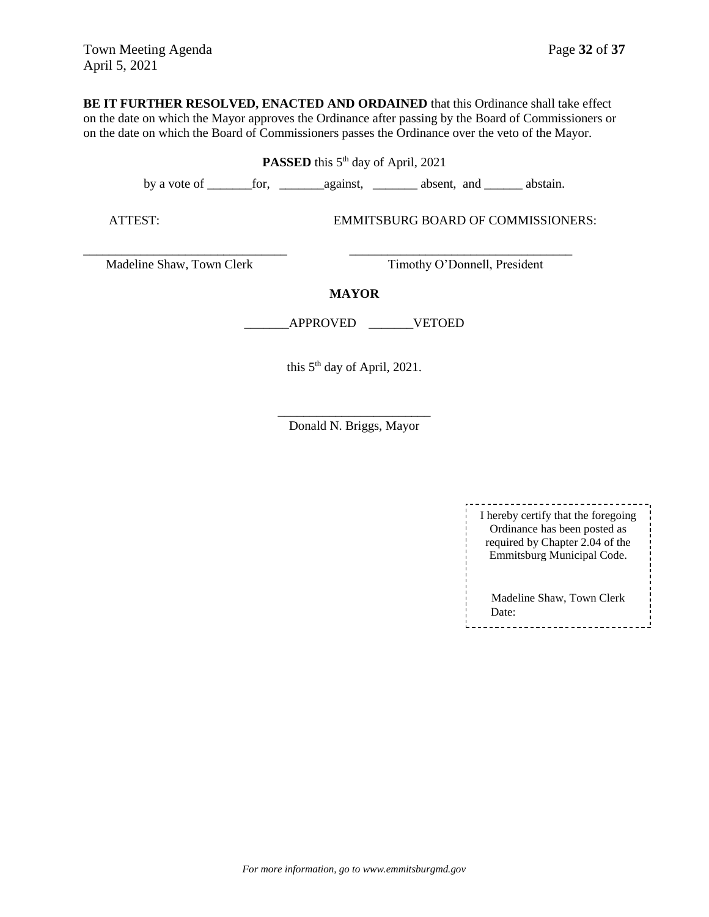**BE IT FURTHER RESOLVED, ENACTED AND ORDAINED** that this Ordinance shall take effect on the date on which the Mayor approves the Ordinance after passing by the Board of Commissioners or on the date on which the Board of Commissioners passes the Ordinance over the veto of the Mayor.

| <b>PASSED</b> this 5 <sup>th</sup> day of April, 2021 |                                           |  |  |  |
|-------------------------------------------------------|-------------------------------------------|--|--|--|
|                                                       |                                           |  |  |  |
| ATTEST:                                               | <b>EMMITSBURG BOARD OF COMMISSIONERS:</b> |  |  |  |
| Madeline Shaw, Town Clerk                             | Timothy O'Donnell, President              |  |  |  |
| <b>MAYOR</b>                                          |                                           |  |  |  |
|                                                       | <b>APPROVED</b><br><b>VETOED</b>          |  |  |  |
|                                                       | this $5th$ day of April, 2021.            |  |  |  |

\_\_\_\_\_\_\_\_\_\_\_\_\_\_\_\_\_\_\_\_\_\_\_\_ Donald N. Briggs, Mayor

| I hereby certify that the foregoing<br>Ordinance has been posted as<br>required by Chapter 2.04 of the<br>Emmitsburg Municipal Code. |  |
|--------------------------------------------------------------------------------------------------------------------------------------|--|
| Madeline Shaw, Town Clerk<br>Date:                                                                                                   |  |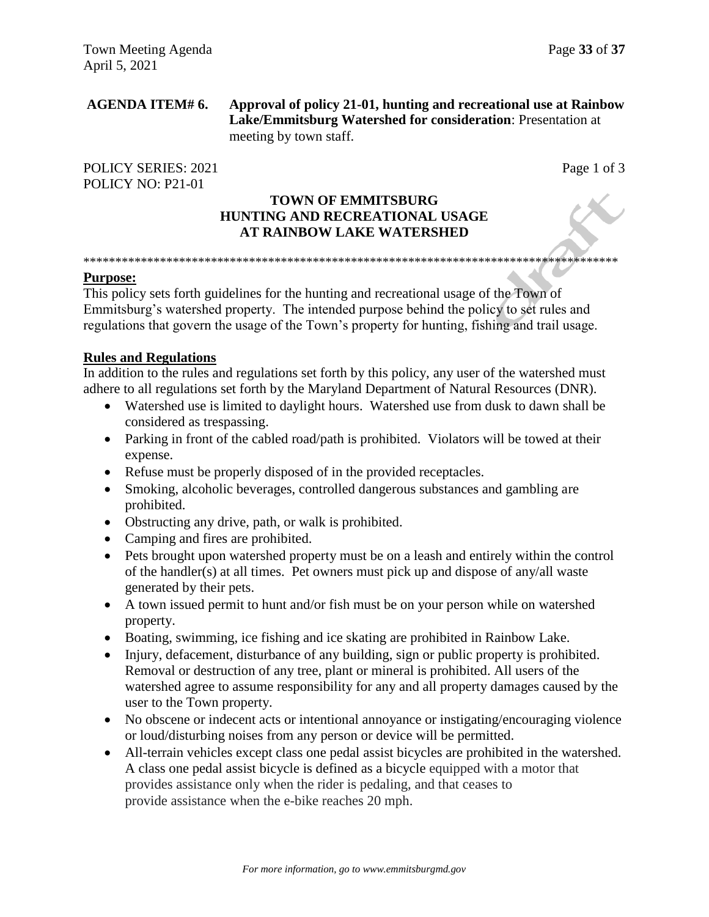### **AGENDA ITEM# 6. Approval of policy 21-01, hunting and recreational use at Rainbow Lake/Emmitsburg Watershed for consideration**: Presentation at meeting by town staff.

POLICY SERIES: 2021 Page 1 of 3 POLICY NO: P21-01

## **TOWN OF EMMITSBURG HUNTING AND RECREATIONAL USAGE AT RAINBOW LAKE WATERSHED**

\*\*\*\*\*\*\*\*\*\*\*\*\*\*\*\*\*\*\*\*\*\*\*\*\*\*\*\*\*\*\*\*\*\*\*\*\*\*\*\*\*\*\*\*\*\*\*\*\*\*\*\*\*\*\*\*\*\*\*\*\*\*\*\*\*\*\*\*\*\*\*\*\*\*\*\*\*\*\*\*\*\*\*\*

## **Purpose:**

This policy sets forth guidelines for the hunting and recreational usage of the Town of Emmitsburg's watershed property. The intended purpose behind the policy to set rules and regulations that govern the usage of the Town's property for hunting, fishing and trail usage.

## **Rules and Regulations**

In addition to the rules and regulations set forth by this policy, any user of the watershed must adhere to all regulations set forth by the Maryland Department of Natural Resources (DNR).

- Watershed use is limited to daylight hours. Watershed use from dusk to dawn shall be considered as trespassing.
- Parking in front of the cabled road/path is prohibited. Violators will be towed at their expense.
- Refuse must be properly disposed of in the provided receptacles.
- Smoking, alcoholic beverages, controlled dangerous substances and gambling are prohibited.
- Obstructing any drive, path, or walk is prohibited.
- Camping and fires are prohibited.
- Pets brought upon watershed property must be on a leash and entirely within the control of the handler(s) at all times. Pet owners must pick up and dispose of any/all waste generated by their pets.
- A town issued permit to hunt and/or fish must be on your person while on watershed property.
- Boating, swimming, ice fishing and ice skating are prohibited in Rainbow Lake.
- Injury, defacement, disturbance of any building, sign or public property is prohibited. Removal or destruction of any tree, plant or mineral is prohibited. All users of the watershed agree to assume responsibility for any and all property damages caused by the user to the Town property.
- No obscene or indecent acts or intentional annoyance or instigating/encouraging violence or loud/disturbing noises from any person or device will be permitted.
- All-terrain vehicles except class one pedal assist bicycles are prohibited in the watershed. A class one pedal assist bicycle is defined as a bicycle equipped with a motor that provides assistance only when the rider is pedaling, and that ceases to provide assistance when the e-bike reaches 20 mph.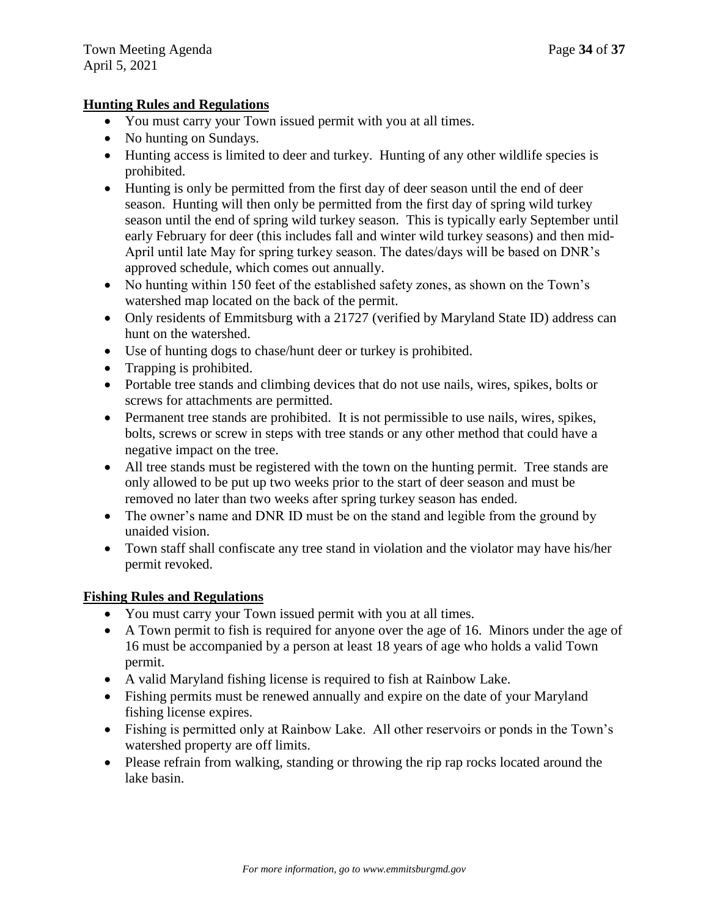## **Hunting Rules and Regulations**

- You must carry your Town issued permit with you at all times.
- No hunting on Sundays.
- Hunting access is limited to deer and turkey. Hunting of any other wildlife species is prohibited.
- Hunting is only be permitted from the first day of deer season until the end of deer season. Hunting will then only be permitted from the first day of spring wild turkey season until the end of spring wild turkey season. This is typically early September until early February for deer (this includes fall and winter wild turkey seasons) and then mid-April until late May for spring turkey season. The dates/days will be based on DNR's approved schedule, which comes out annually.
- No hunting within 150 feet of the established safety zones, as shown on the Town's watershed map located on the back of the permit.
- Only residents of Emmitsburg with a 21727 (verified by Maryland State ID) address can hunt on the watershed.
- Use of hunting dogs to chase/hunt deer or turkey is prohibited.
- Trapping is prohibited.
- Portable tree stands and climbing devices that do not use nails, wires, spikes, bolts or screws for attachments are permitted.
- Permanent tree stands are prohibited. It is not permissible to use nails, wires, spikes, bolts, screws or screw in steps with tree stands or any other method that could have a negative impact on the tree.
- All tree stands must be registered with the town on the hunting permit. Tree stands are only allowed to be put up two weeks prior to the start of deer season and must be removed no later than two weeks after spring turkey season has ended.
- The owner's name and DNR ID must be on the stand and legible from the ground by unaided vision.
- Town staff shall confiscate any tree stand in violation and the violator may have his/her permit revoked.

## **Fishing Rules and Regulations**

- You must carry your Town issued permit with you at all times.
- A Town permit to fish is required for anyone over the age of 16. Minors under the age of 16 must be accompanied by a person at least 18 years of age who holds a valid Town permit.
- A valid Maryland fishing license is required to fish at Rainbow Lake.
- Fishing permits must be renewed annually and expire on the date of your Maryland fishing license expires.
- Fishing is permitted only at Rainbow Lake. All other reservoirs or ponds in the Town's watershed property are off limits.
- Please refrain from walking, standing or throwing the rip rap rocks located around the lake basin.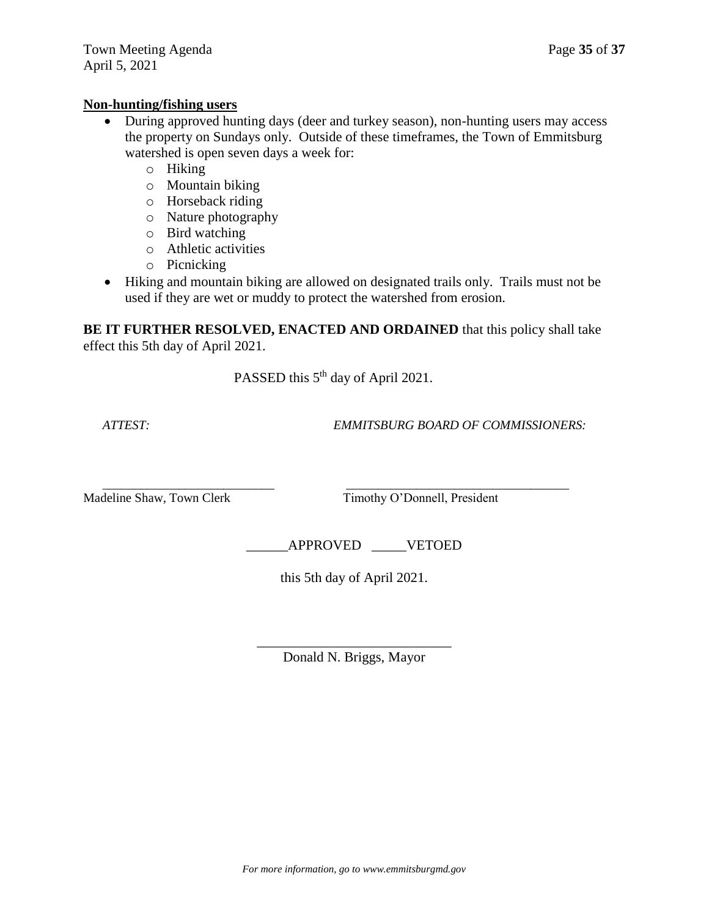## **Non-hunting/fishing users**

- During approved hunting days (deer and turkey season), non-hunting users may access the property on Sundays only. Outside of these timeframes, the Town of Emmitsburg watershed is open seven days a week for:
	- o Hiking
	- o Mountain biking
	- o Horseback riding
	- o Nature photography
	- o Bird watching
	- o Athletic activities
	- o Picnicking
- Hiking and mountain biking are allowed on designated trails only. Trails must not be used if they are wet or muddy to protect the watershed from erosion.

**BE IT FURTHER RESOLVED, ENACTED AND ORDAINED** that this policy shall take effect this 5th day of April 2021.

PASSED this 5<sup>th</sup> day of April 2021.

 $\overline{\phantom{a}}$  ,  $\overline{\phantom{a}}$  ,  $\overline{\phantom{a}}$  ,  $\overline{\phantom{a}}$  ,  $\overline{\phantom{a}}$  ,  $\overline{\phantom{a}}$  ,  $\overline{\phantom{a}}$  ,  $\overline{\phantom{a}}$  ,  $\overline{\phantom{a}}$  ,  $\overline{\phantom{a}}$  ,  $\overline{\phantom{a}}$  ,  $\overline{\phantom{a}}$  ,  $\overline{\phantom{a}}$  ,  $\overline{\phantom{a}}$  ,  $\overline{\phantom{a}}$  ,  $\overline{\phantom{a}}$ 

 *ATTEST: EMMITSBURG BOARD OF COMMISSIONERS:*

Madeline Shaw, Town Clerk Timothy O'Donnell, President

\_\_\_\_\_\_APPROVED \_\_\_\_\_VETOED

this 5th day of April 2021.

\_\_\_\_\_\_\_\_\_\_\_\_\_\_\_\_\_\_\_\_\_\_\_\_\_\_\_\_ Donald N. Briggs, Mayor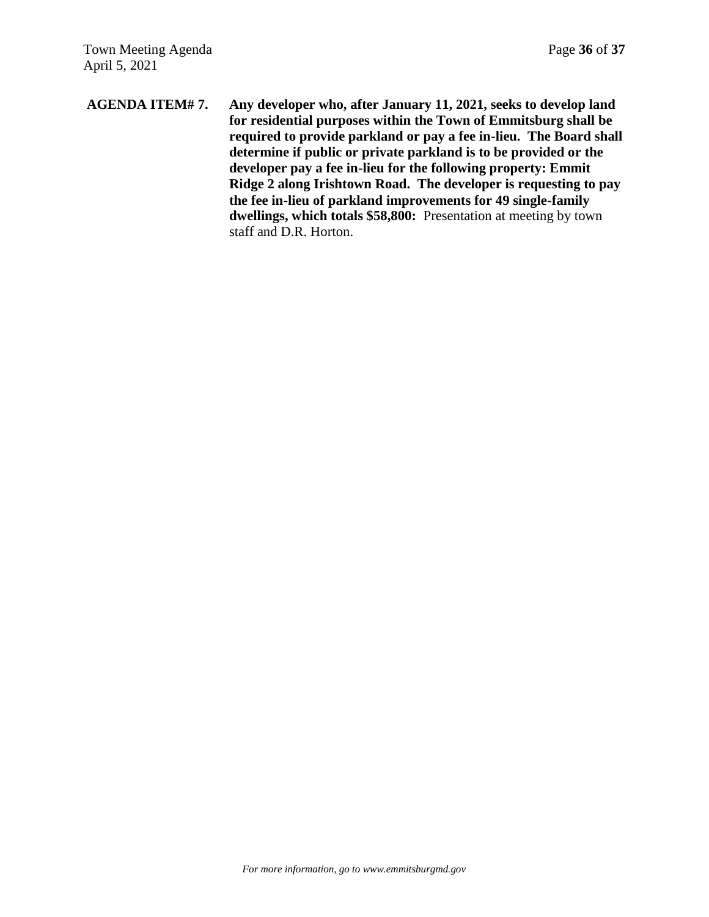**AGENDA ITEM# 7. Any developer who, after January 11, 2021, seeks to develop land for residential purposes within the Town of Emmitsburg shall be required to provide parkland or pay a fee in-lieu. The Board shall determine if public or private parkland is to be provided or the developer pay a fee in-lieu for the following property: Emmit Ridge 2 along Irishtown Road. The developer is requesting to pay the fee in-lieu of parkland improvements for 49 single-family dwellings, which totals \$58,800:** Presentation at meeting by town staff and D.R. Horton.